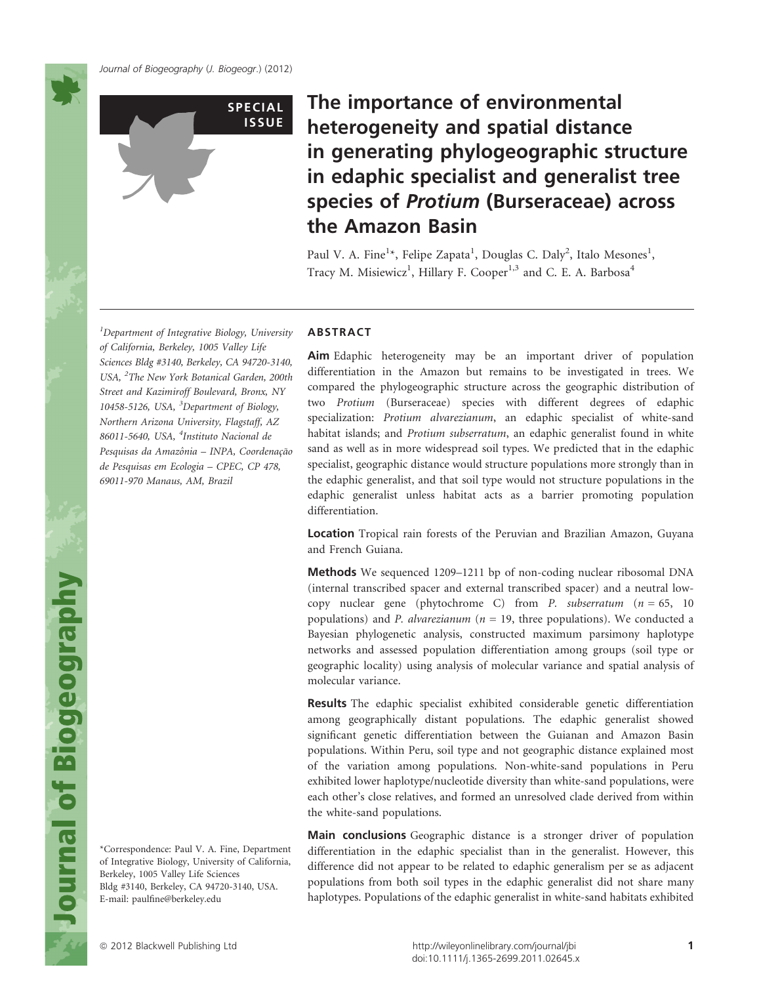

# The importance of environmental heterogeneity and spatial distance in generating phylogeographic structure in edaphic specialist and generalist tree species of Protium (Burseraceae) across the Amazon Basin

Paul V. A. Fine<sup>1\*</sup>, Felipe Zapata<sup>1</sup>, Douglas C. Daly<sup>2</sup>, Italo Mesones<sup>1</sup>, Tracy M. Misiewicz<sup>1</sup>, Hillary F. Cooper<sup>1,3</sup> and C. E. A. Barbosa<sup>4</sup>

<sup>1</sup>Department of Integrative Biology, University of California, Berkeley, 1005 Valley Life Sciences Bldg #3140, Berkeley, CA 94720-3140, USA, <sup>2</sup>The New York Botanical Garden, 200th Street and Kazimiroff Boulevard, Bronx, NY 10458-5126, USA, <sup>3</sup>Department of Biology, Northern Arizona University, Flagstaff, AZ 86011-5640, USA, <sup>4</sup>Instituto Nacional de Pesquisas da Amazônia – INPA, Coordenação de Pesquisas em Ecologia – CPEC, CP 478, 69011-970 Manaus, AM, Brazil

# ABSTRACT

Aim Edaphic heterogeneity may be an important driver of population differentiation in the Amazon but remains to be investigated in trees. We compared the phylogeographic structure across the geographic distribution of two Protium (Burseraceae) species with different degrees of edaphic specialization: Protium alvarezianum, an edaphic specialist of white-sand habitat islands; and Protium subserratum, an edaphic generalist found in white sand as well as in more widespread soil types. We predicted that in the edaphic specialist, geographic distance would structure populations more strongly than in the edaphic generalist, and that soil type would not structure populations in the edaphic generalist unless habitat acts as a barrier promoting population differentiation.

Location Tropical rain forests of the Peruvian and Brazilian Amazon, Guyana and French Guiana.

Methods We sequenced 1209–1211 bp of non-coding nuclear ribosomal DNA (internal transcribed spacer and external transcribed spacer) and a neutral lowcopy nuclear gene (phytochrome C) from *P. subserratum* ( $n = 65$ , 10) populations) and P. alvarezianum ( $n = 19$ , three populations). We conducted a Bayesian phylogenetic analysis, constructed maximum parsimony haplotype networks and assessed population differentiation among groups (soil type or geographic locality) using analysis of molecular variance and spatial analysis of molecular variance.

Results The edaphic specialist exhibited considerable genetic differentiation among geographically distant populations. The edaphic generalist showed significant genetic differentiation between the Guianan and Amazon Basin populations. Within Peru, soil type and not geographic distance explained most of the variation among populations. Non-white-sand populations in Peru exhibited lower haplotype/nucleotide diversity than white-sand populations, were each other's close relatives, and formed an unresolved clade derived from within the white-sand populations.

**Main conclusions** Geographic distance is a stronger driver of population differentiation in the edaphic specialist than in the generalist. However, this difference did not appear to be related to edaphic generalism per se as adjacent populations from both soil types in the edaphic generalist did not share many haplotypes. Populations of the edaphic generalist in white-sand habitats exhibited

\*Correspondence: Paul V. A. Fine, Department of Integrative Biology, University of California, Berkeley, 1005 Valley Life Sciences Bldg #3140, Berkeley, CA 94720-3140, USA. E-mail: paulfine@berkeley.edu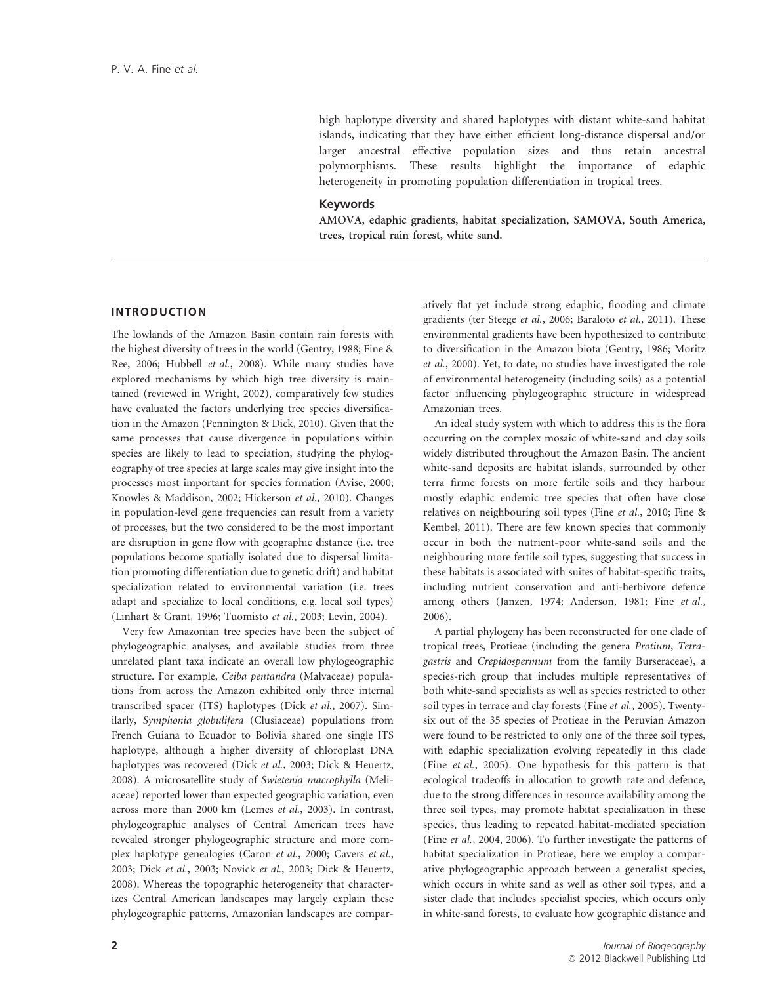high haplotype diversity and shared haplotypes with distant white-sand habitat islands, indicating that they have either efficient long-distance dispersal and/or larger ancestral effective population sizes and thus retain ancestral polymorphisms. These results highlight the importance of edaphic heterogeneity in promoting population differentiation in tropical trees.

## Keywords

AMOVA, edaphic gradients, habitat specialization, SAMOVA, South America, trees, tropical rain forest, white sand.

# INTRODUCTION

The lowlands of the Amazon Basin contain rain forests with the highest diversity of trees in the world (Gentry, 1988; Fine & Ree, 2006; Hubbell et al., 2008). While many studies have explored mechanisms by which high tree diversity is maintained (reviewed in Wright, 2002), comparatively few studies have evaluated the factors underlying tree species diversification in the Amazon (Pennington & Dick, 2010). Given that the same processes that cause divergence in populations within species are likely to lead to speciation, studying the phylogeography of tree species at large scales may give insight into the processes most important for species formation (Avise, 2000; Knowles & Maddison, 2002; Hickerson et al., 2010). Changes in population-level gene frequencies can result from a variety of processes, but the two considered to be the most important are disruption in gene flow with geographic distance (i.e. tree populations become spatially isolated due to dispersal limitation promoting differentiation due to genetic drift) and habitat specialization related to environmental variation (i.e. trees adapt and specialize to local conditions, e.g. local soil types) (Linhart & Grant, 1996; Tuomisto et al., 2003; Levin, 2004).

Very few Amazonian tree species have been the subject of phylogeographic analyses, and available studies from three unrelated plant taxa indicate an overall low phylogeographic structure. For example, Ceiba pentandra (Malvaceae) populations from across the Amazon exhibited only three internal transcribed spacer (ITS) haplotypes (Dick et al., 2007). Similarly, Symphonia globulifera (Clusiaceae) populations from French Guiana to Ecuador to Bolivia shared one single ITS haplotype, although a higher diversity of chloroplast DNA haplotypes was recovered (Dick et al., 2003; Dick & Heuertz, 2008). A microsatellite study of Swietenia macrophylla (Meliaceae) reported lower than expected geographic variation, even across more than 2000 km (Lemes et al., 2003). In contrast, phylogeographic analyses of Central American trees have revealed stronger phylogeographic structure and more complex haplotype genealogies (Caron et al., 2000; Cavers et al., 2003; Dick et al., 2003; Novick et al., 2003; Dick & Heuertz, 2008). Whereas the topographic heterogeneity that characterizes Central American landscapes may largely explain these phylogeographic patterns, Amazonian landscapes are comparatively flat yet include strong edaphic, flooding and climate gradients (ter Steege et al., 2006; Baraloto et al., 2011). These environmental gradients have been hypothesized to contribute to diversification in the Amazon biota (Gentry, 1986; Moritz et al., 2000). Yet, to date, no studies have investigated the role of environmental heterogeneity (including soils) as a potential factor influencing phylogeographic structure in widespread Amazonian trees.

An ideal study system with which to address this is the flora occurring on the complex mosaic of white-sand and clay soils widely distributed throughout the Amazon Basin. The ancient white-sand deposits are habitat islands, surrounded by other terra firme forests on more fertile soils and they harbour mostly edaphic endemic tree species that often have close relatives on neighbouring soil types (Fine et al., 2010; Fine & Kembel, 2011). There are few known species that commonly occur in both the nutrient-poor white-sand soils and the neighbouring more fertile soil types, suggesting that success in these habitats is associated with suites of habitat-specific traits, including nutrient conservation and anti-herbivore defence among others (Janzen, 1974; Anderson, 1981; Fine et al., 2006).

A partial phylogeny has been reconstructed for one clade of tropical trees, Protieae (including the genera Protium, Tetragastris and Crepidospermum from the family Burseraceae), a species-rich group that includes multiple representatives of both white-sand specialists as well as species restricted to other soil types in terrace and clay forests (Fine et al., 2005). Twentysix out of the 35 species of Protieae in the Peruvian Amazon were found to be restricted to only one of the three soil types, with edaphic specialization evolving repeatedly in this clade (Fine et al., 2005). One hypothesis for this pattern is that ecological tradeoffs in allocation to growth rate and defence, due to the strong differences in resource availability among the three soil types, may promote habitat specialization in these species, thus leading to repeated habitat-mediated speciation (Fine et al., 2004, 2006). To further investigate the patterns of habitat specialization in Protieae, here we employ a comparative phylogeographic approach between a generalist species, which occurs in white sand as well as other soil types, and a sister clade that includes specialist species, which occurs only in white-sand forests, to evaluate how geographic distance and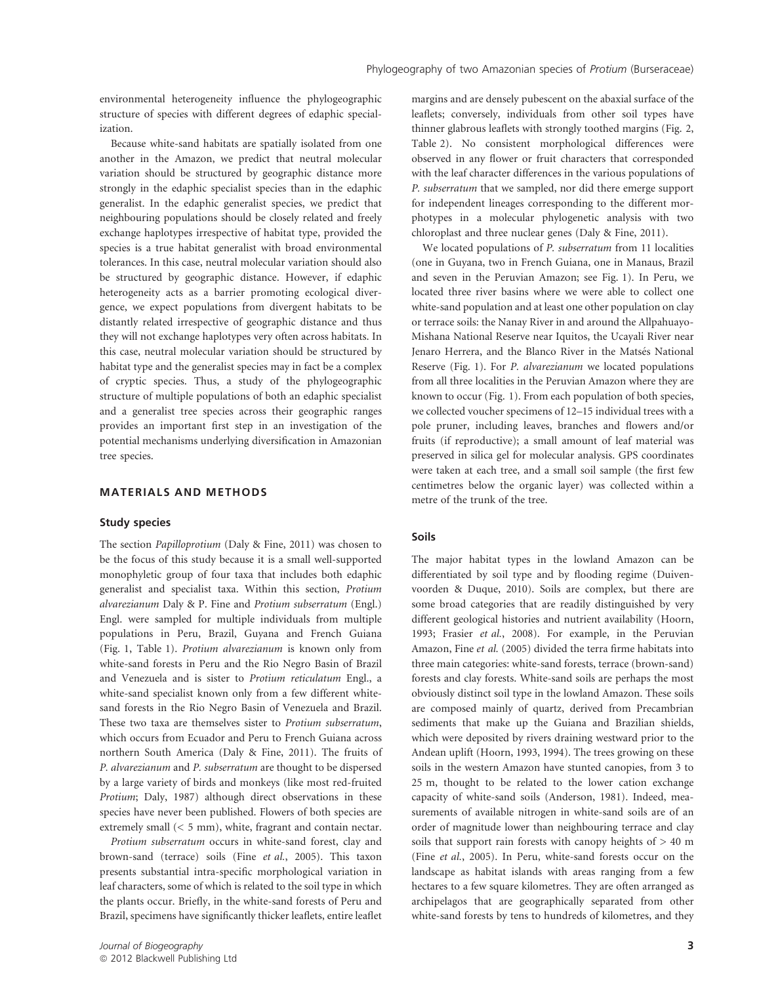environmental heterogeneity influence the phylogeographic structure of species with different degrees of edaphic specialization.

Because white-sand habitats are spatially isolated from one another in the Amazon, we predict that neutral molecular variation should be structured by geographic distance more strongly in the edaphic specialist species than in the edaphic generalist. In the edaphic generalist species, we predict that neighbouring populations should be closely related and freely exchange haplotypes irrespective of habitat type, provided the species is a true habitat generalist with broad environmental tolerances. In this case, neutral molecular variation should also be structured by geographic distance. However, if edaphic heterogeneity acts as a barrier promoting ecological divergence, we expect populations from divergent habitats to be distantly related irrespective of geographic distance and thus they will not exchange haplotypes very often across habitats. In this case, neutral molecular variation should be structured by habitat type and the generalist species may in fact be a complex of cryptic species. Thus, a study of the phylogeographic structure of multiple populations of both an edaphic specialist and a generalist tree species across their geographic ranges provides an important first step in an investigation of the potential mechanisms underlying diversification in Amazonian tree species.

# MATERIALS AND METHODS

## Study species

The section Papilloprotium (Daly & Fine, 2011) was chosen to be the focus of this study because it is a small well-supported monophyletic group of four taxa that includes both edaphic generalist and specialist taxa. Within this section, Protium alvarezianum Daly & P. Fine and Protium subserratum (Engl.) Engl. were sampled for multiple individuals from multiple populations in Peru, Brazil, Guyana and French Guiana (Fig. 1, Table 1). Protium alvarezianum is known only from white-sand forests in Peru and the Rio Negro Basin of Brazil and Venezuela and is sister to Protium reticulatum Engl., a white-sand specialist known only from a few different whitesand forests in the Rio Negro Basin of Venezuela and Brazil. These two taxa are themselves sister to Protium subserratum, which occurs from Ecuador and Peru to French Guiana across northern South America (Daly & Fine, 2011). The fruits of P. alvarezianum and P. subserratum are thought to be dispersed by a large variety of birds and monkeys (like most red-fruited Protium; Daly, 1987) although direct observations in these species have never been published. Flowers of both species are extremely small (< 5 mm), white, fragrant and contain nectar.

Protium subserratum occurs in white-sand forest, clay and brown-sand (terrace) soils (Fine et al., 2005). This taxon presents substantial intra-specific morphological variation in leaf characters, some of which is related to the soil type in which the plants occur. Briefly, in the white-sand forests of Peru and Brazil, specimens have significantly thicker leaflets, entire leaflet

margins and are densely pubescent on the abaxial surface of the leaflets; conversely, individuals from other soil types have thinner glabrous leaflets with strongly toothed margins (Fig. 2, Table 2). No consistent morphological differences were observed in any flower or fruit characters that corresponded with the leaf character differences in the various populations of P. subserratum that we sampled, nor did there emerge support for independent lineages corresponding to the different morphotypes in a molecular phylogenetic analysis with two chloroplast and three nuclear genes (Daly & Fine, 2011).

We located populations of P. subserratum from 11 localities (one in Guyana, two in French Guiana, one in Manaus, Brazil and seven in the Peruvian Amazon; see Fig. 1). In Peru, we located three river basins where we were able to collect one white-sand population and at least one other population on clay or terrace soils: the Nanay River in and around the Allpahuayo-Mishana National Reserve near Iquitos, the Ucayali River near Jenaro Herrera, and the Blanco River in the Matsés National Reserve (Fig. 1). For P. alvarezianum we located populations from all three localities in the Peruvian Amazon where they are known to occur (Fig. 1). From each population of both species, we collected voucher specimens of 12–15 individual trees with a pole pruner, including leaves, branches and flowers and/or fruits (if reproductive); a small amount of leaf material was preserved in silica gel for molecular analysis. GPS coordinates were taken at each tree, and a small soil sample (the first few centimetres below the organic layer) was collected within a metre of the trunk of the tree.

#### Soils

The major habitat types in the lowland Amazon can be differentiated by soil type and by flooding regime (Duivenvoorden & Duque, 2010). Soils are complex, but there are some broad categories that are readily distinguished by very different geological histories and nutrient availability (Hoorn, 1993; Frasier et al., 2008). For example, in the Peruvian Amazon, Fine et al. (2005) divided the terra firme habitats into three main categories: white-sand forests, terrace (brown-sand) forests and clay forests. White-sand soils are perhaps the most obviously distinct soil type in the lowland Amazon. These soils are composed mainly of quartz, derived from Precambrian sediments that make up the Guiana and Brazilian shields, which were deposited by rivers draining westward prior to the Andean uplift (Hoorn, 1993, 1994). The trees growing on these soils in the western Amazon have stunted canopies, from 3 to 25 m, thought to be related to the lower cation exchange capacity of white-sand soils (Anderson, 1981). Indeed, measurements of available nitrogen in white-sand soils are of an order of magnitude lower than neighbouring terrace and clay soils that support rain forests with canopy heights of > 40 m (Fine et al., 2005). In Peru, white-sand forests occur on the landscape as habitat islands with areas ranging from a few hectares to a few square kilometres. They are often arranged as archipelagos that are geographically separated from other white-sand forests by tens to hundreds of kilometres, and they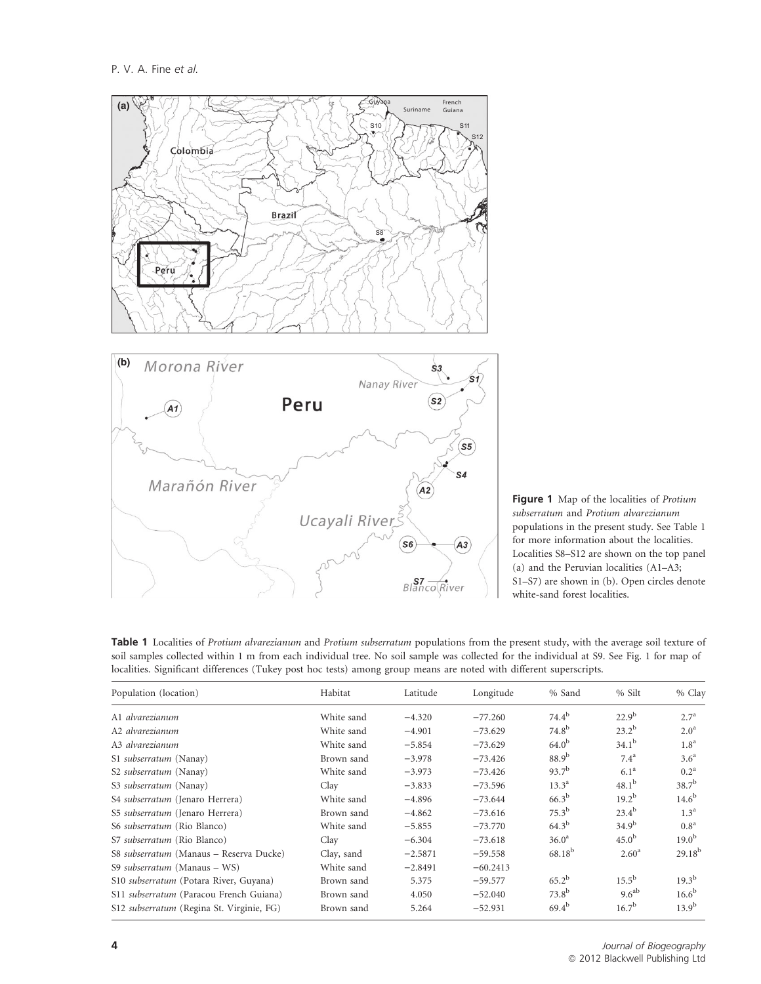

Figure 1 Map of the localities of Protium subserratum and Protium alvarezianum populations in the present study. See Table 1 for more information about the localities. Localities S8–S12 are shown on the top panel (a) and the Peruvian localities (A1–A3; S1–S7) are shown in (b). Open circles denote white-sand forest localities.

Table 1 Localities of Protium alvarezianum and Protium subserratum populations from the present study, with the average soil texture of soil samples collected within 1 m from each individual tree. No soil sample was collected for the individual at S9. See Fig. 1 for map of localities. Significant differences (Tukey post hoc tests) among group means are noted with different superscripts.

| Population (location)                     | Habitat    | Latitude  | Longitude  | % Sand            | % Silt           | % Clay           |
|-------------------------------------------|------------|-----------|------------|-------------------|------------------|------------------|
| A1 alvarezianum                           | White sand | $-4.320$  | $-77,260$  | $74.4^{b}$        | $22.9^{\rm b}$   | $2.7^{\rm a}$    |
| A2 alvarezianum                           | White sand | $-4.901$  | $-73.629$  | $74.8^{b}$        | $23.2^{b}$       | 2.0 <sup>a</sup> |
| A3 alvarezianum                           | White sand | $-5.854$  | $-73.629$  | 64.0 <sup>b</sup> | $34.1^{b}$       | 1.8 <sup>a</sup> |
| S1 subserratum (Nanay)                    | Brown sand | $-3.978$  | $-73.426$  | 88.9 <sup>b</sup> | 7.4 <sup>a</sup> | 3.6 <sup>a</sup> |
| S2 subserratum (Nanay)                    | White sand | $-3.973$  | $-73.426$  | $93.7^{b}$        | 6.1 <sup>a</sup> | 0.2 <sup>a</sup> |
| S3 subserratum (Nanay)                    | Clay       | $-3.833$  | $-73.596$  | $13.3^a$          | $48.1^{b}$       | $38.7^{b}$       |
| S4 subserratum (Jenaro Herrera)           | White sand | $-4.896$  | $-73.644$  | $66.3^{b}$        | $19.2^{b}$       | $14.6^{b}$       |
| S5 subserratum (Jenaro Herrera)           | Brown sand | $-4.862$  | $-73.616$  | $75.3^{\rm b}$    | $23.4^{b}$       | 1.3 <sup>a</sup> |
| S6 subserratum (Rio Blanco)               | White sand | $-5.855$  | $-73.770$  | $64.3^{b}$        | $34.9^{b}$       | 0.8 <sup>a</sup> |
| S7 subserratum (Rio Blanco)               | Clay       | $-6.304$  | $-73.618$  | $36.0^{\rm a}$    | $45.0^{b}$       | $19.0^{b}$       |
| S8 subserratum (Manaus - Reserva Ducke)   | Clay, sand | $-2.5871$ | $-59.558$  | $68.18^{b}$       | $2.60^{\rm a}$   | $29.18^{b}$      |
| S9 subserratum (Manaus – WS)              | White sand | $-2.8491$ | $-60.2413$ |                   |                  |                  |
| S10 subserratum (Potara River, Guyana)    | Brown sand | 5.375     | $-59.577$  | $65.2^{b}$        | $15.5^{\rm b}$   | $19.3^{b}$       |
| S11 subserratum (Paracou French Guiana)   | Brown sand | 4.050     | $-52.040$  | $73.8^{b}$        | $9.6^{ab}$       | $16.6^{b}$       |
| S12 subserratum (Regina St. Virginie, FG) | Brown sand | 5.264     | $-52.931$  | $69.4^{b}$        | $16.7^{\rm b}$   | $13.9^{b}$       |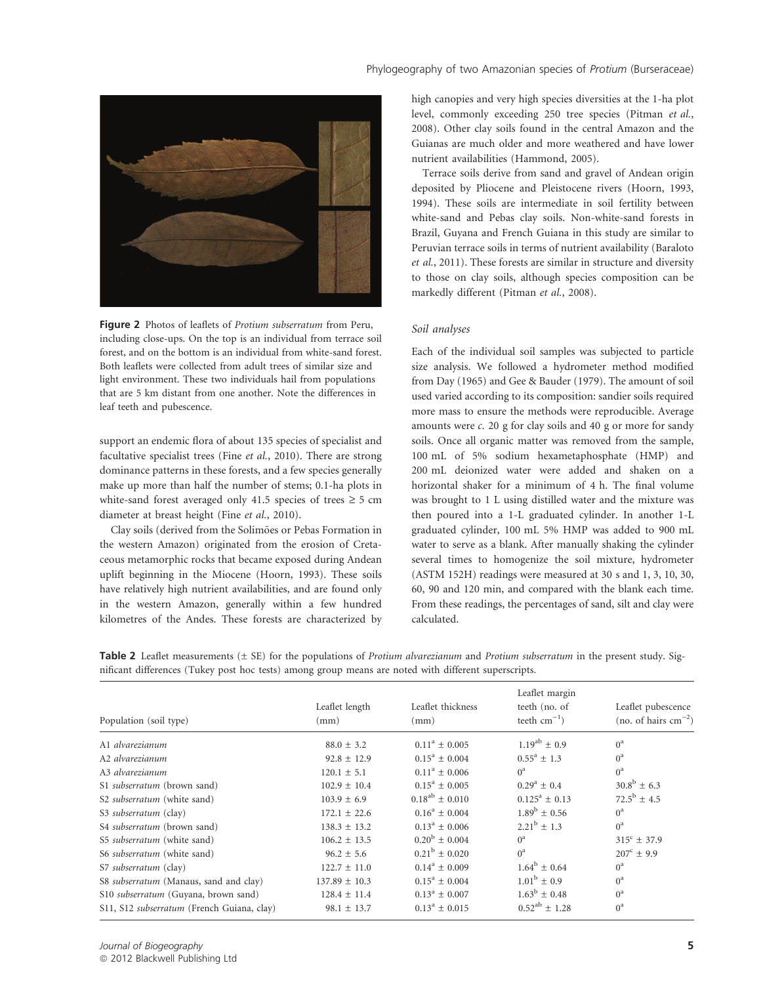

Figure 2 Photos of leaflets of *Protium subserratum* from Peru, including close-ups. On the top is an individual from terrace soil forest, and on the bottom is an individual from white-sand forest. Both leaflets were collected from adult trees of similar size and light environment. These two individuals hail from populations that are 5 km distant from one another. Note the differences in leaf teeth and pubescence.

support an endemic flora of about 135 species of specialist and facultative specialist trees (Fine et al., 2010). There are strong dominance patterns in these forests, and a few species generally make up more than half the number of stems; 0.1-ha plots in white-sand forest averaged only 41.5 species of trees  $\geq$  5 cm diameter at breast height (Fine et al., 2010).

Clay soils (derived from the Solimões or Pebas Formation in the western Amazon) originated from the erosion of Cretaceous metamorphic rocks that became exposed during Andean uplift beginning in the Miocene (Hoorn, 1993). These soils have relatively high nutrient availabilities, and are found only in the western Amazon, generally within a few hundred kilometres of the Andes. These forests are characterized by high canopies and very high species diversities at the 1-ha plot level, commonly exceeding 250 tree species (Pitman et al., 2008). Other clay soils found in the central Amazon and the Guianas are much older and more weathered and have lower nutrient availabilities (Hammond, 2005).

Terrace soils derive from sand and gravel of Andean origin deposited by Pliocene and Pleistocene rivers (Hoorn, 1993, 1994). These soils are intermediate in soil fertility between white-sand and Pebas clay soils. Non-white-sand forests in Brazil, Guyana and French Guiana in this study are similar to Peruvian terrace soils in terms of nutrient availability (Baraloto et al., 2011). These forests are similar in structure and diversity to those on clay soils, although species composition can be markedly different (Pitman et al., 2008).

## Soil analyses

Each of the individual soil samples was subjected to particle size analysis. We followed a hydrometer method modified from Day (1965) and Gee & Bauder (1979). The amount of soil used varied according to its composition: sandier soils required more mass to ensure the methods were reproducible. Average amounts were c. 20 g for clay soils and 40 g or more for sandy soils. Once all organic matter was removed from the sample, 100 mL of 5% sodium hexametaphosphate (HMP) and 200 mL deionized water were added and shaken on a horizontal shaker for a minimum of 4 h. The final volume was brought to 1 L using distilled water and the mixture was then poured into a 1-L graduated cylinder. In another 1-L graduated cylinder, 100 mL 5% HMP was added to 900 mL water to serve as a blank. After manually shaking the cylinder several times to homogenize the soil mixture, hydrometer (ASTM 152H) readings were measured at 30 s and 1, 3, 10, 30, 60, 90 and 120 min, and compared with the blank each time. From these readings, the percentages of sand, silt and clay were calculated.

Table 2 Leaflet measurements  $(\pm$  SE) for the populations of *Protium alvarezianum* and *Protium subserratum* in the present study. Significant differences (Tukey post hoc tests) among group means are noted with different superscripts.

| Population (soil type)                     | Leaflet length<br>(mm) | Leaflet thickness<br>(mm) | Leaflet margin<br>teeth (no. of<br>teeth $cm^{-1}$ ) | Leaflet pubescence<br>(no. of hairs $cm^{-2}$ ) |
|--------------------------------------------|------------------------|---------------------------|------------------------------------------------------|-------------------------------------------------|
| A1 alvarezianum                            | $88.0 \pm 3.2$         | $0.11^a + 0.005$          | $1.19^{ab} \pm 0.9$                                  | $0^a$                                           |
| A2 alvarezianum                            | $92.8 \pm 12.9$        | $0.15^a \pm 0.004$        | $0.55^{\rm a} \pm 1.3$                               | $0^a$                                           |
| A3 alvarezianum                            | $120.1 \pm 5.1$        | $0.11^a + 0.006$          | $0^a$                                                | $0^a$                                           |
| S1 subserratum (brown sand)                | $102.9 \pm 10.4$       | $0.15^a + 0.005$          | $0.29^a + 0.4$                                       | $30.8^b + 6.3$                                  |
| S2 subserratum (white sand)                | $103.9 + 6.9$          | $0.18^{ab} + 0.010$       | $0.125^a + 0.13$                                     | $72.5^{\rm b}$ + 4.5                            |
| S3 subserratum (clay)                      | $172.1 + 22.6$         | $0.16^a + 0.004$          | $1.89^{\rm b} + 0.56$                                | $0^a$                                           |
| S4 subserratum (brown sand)                | $138.3 \pm 13.2$       | $0.13^a + 0.006$          | $2.21^{\rm b}$ + 1.3                                 | $0^a$                                           |
| S5 subserratum (white sand)                | $106.2 \pm 13.5$       | $0.20^{\rm b} + 0.004$    | $0^a$                                                | $315^{\circ} \pm 37.9$                          |
| S6 subserratum (white sand)                | $96.2 + 5.6$           | $0.21^{\rm b} + 0.020$    | $0^a$                                                | $207^{\circ} + 9.9$                             |
| S7 subserratum (clay)                      | $122.7 \pm 11.0$       | $0.14^a + 0.009$          | $1.64^b + 0.64$                                      | $0^a$                                           |
| S8 subserratum (Manaus, sand and clay)     | $137.89 \pm 10.3$      | $0.15^a \pm 0.004$        | $1.01^b + 0.9$                                       | $0^a$                                           |
| S10 subserratum (Guyana, brown sand)       | $128.4 \pm 11.4$       | $0.13^a \pm 0.007$        | $1.63^b \pm 0.48$                                    | $0^a$                                           |
| S11, S12 subserratum (French Guiana, clay) | $98.1 \pm 13.7$        | $0.13^a \pm 0.015$        | $0.52^{ab} + 1.28$                                   | $0^a$                                           |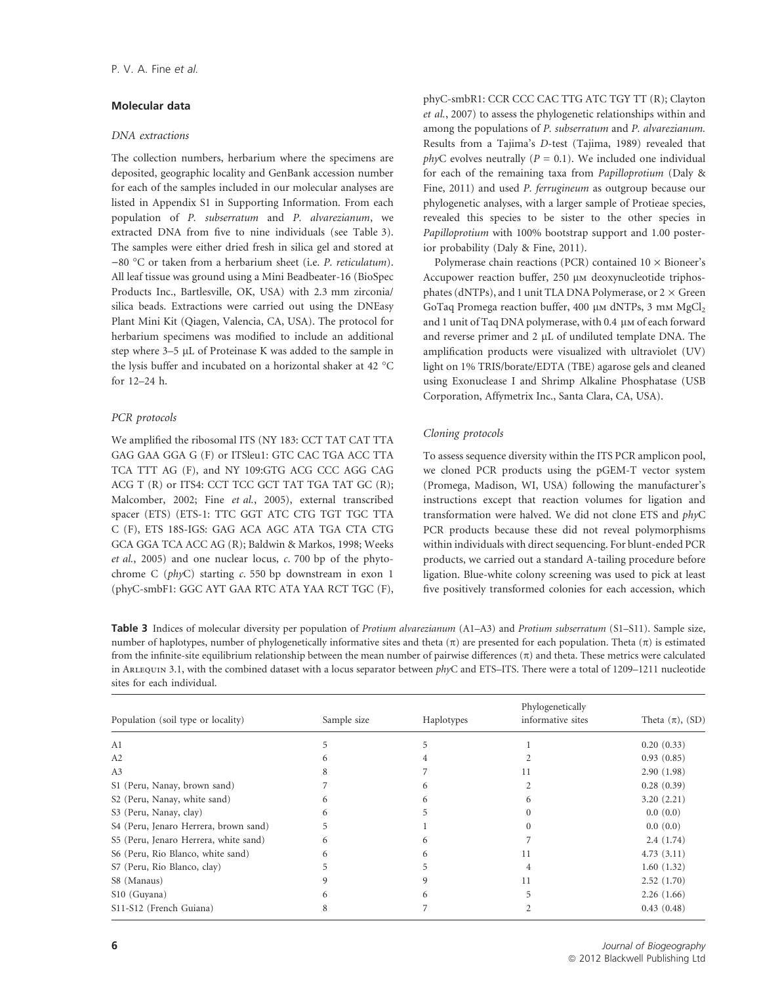## Molecular data

## DNA extractions

The collection numbers, herbarium where the specimens are deposited, geographic locality and GenBank accession number for each of the samples included in our molecular analyses are listed in Appendix S1 in Supporting Information. From each population of P. subserratum and P. alvarezianum, we extracted DNA from five to nine individuals (see Table 3). The samples were either dried fresh in silica gel and stored at  $-80$  °C or taken from a herbarium sheet (i.e. P. reticulatum). All leaf tissue was ground using a Mini Beadbeater-16 (BioSpec Products Inc., Bartlesville, OK, USA) with 2.3 mm zirconia/ silica beads. Extractions were carried out using the DNEasy Plant Mini Kit (Qiagen, Valencia, CA, USA). The protocol for herbarium specimens was modified to include an additional step where  $3-5$  µL of Proteinase K was added to the sample in the lysis buffer and incubated on a horizontal shaker at 42  $^{\circ}$ C for 12–24 h.

#### PCR protocols

We amplified the ribosomal ITS (NY 183: CCT TAT CAT TTA GAG GAA GGA G (F) or ITSleu1: GTC CAC TGA ACC TTA TCA TTT AG (F), and NY 109:GTG ACG CCC AGG CAG ACG T (R) or ITS4: CCT TCC GCT TAT TGA TAT GC (R); Malcomber, 2002; Fine et al., 2005), external transcribed spacer (ETS) (ETS-1: TTC GGT ATC CTG TGT TGC TTA C (F), ETS 18S-IGS: GAG ACA AGC ATA TGA CTA CTG GCA GGA TCA ACC AG (R); Baldwin & Markos, 1998; Weeks et al., 2005) and one nuclear locus, c. 700 bp of the phytochrome C (phyC) starting c. 550 bp downstream in exon 1 (phyC-smbF1: GGC AYT GAA RTC ATA YAA RCT TGC (F), phyC-smbR1: CCR CCC CAC TTG ATC TGY TT (R); Clayton et al., 2007) to assess the phylogenetic relationships within and among the populations of P. subserratum and P. alvarezianum. Results from a Tajima's D-test (Tajima, 1989) revealed that  $phyC$  evolves neutrally ( $P = 0.1$ ). We included one individual for each of the remaining taxa from Papilloprotium (Daly & Fine, 2011) and used P. ferrugineum as outgroup because our phylogenetic analyses, with a larger sample of Protieae species, revealed this species to be sister to the other species in Papilloprotium with 100% bootstrap support and 1.00 posterior probability (Daly & Fine, 2011).

Polymerase chain reactions (PCR) contained  $10 \times$  Bioneer's Accupower reaction buffer, 250 µm deoxynucleotide triphosphates (dNTPs), and 1 unit TLA DNA Polymerase, or  $2 \times$  Green GoTaq Promega reaction buffer, 400  $\mu$ m dNTPs, 3 mm MgCl<sub>2</sub> and 1 unit of Taq DNA polymerase, with 0.4 µM of each forward and reverse primer and 2 µL of undiluted template DNA. The amplification products were visualized with ultraviolet (UV) light on 1% TRIS/borate/EDTA (TBE) agarose gels and cleaned using Exonuclease I and Shrimp Alkaline Phosphatase (USB Corporation, Affymetrix Inc., Santa Clara, CA, USA).

#### Cloning protocols

To assess sequence diversity within the ITS PCR amplicon pool, we cloned PCR products using the pGEM-T vector system (Promega, Madison, WI, USA) following the manufacturer's instructions except that reaction volumes for ligation and transformation were halved. We did not clone ETS and phyC PCR products because these did not reveal polymorphisms within individuals with direct sequencing. For blunt-ended PCR products, we carried out a standard A-tailing procedure before ligation. Blue-white colony screening was used to pick at least five positively transformed colonies for each accession, which

Table 3 Indices of molecular diversity per population of Protium alvarezianum (A1-A3) and Protium subserratum (S1-S11). Sample size, number of haplotypes, number of phylogenetically informative sites and theta  $(\pi)$  are presented for each population. Theta  $(\pi)$  is estimated from the infinite-site equilibrium relationship between the mean number of pairwise differences  $(\pi)$  and theta. These metrics were calculated in Archaeoun 3.1, with the combined dataset with a locus separator between phyC and ETS–ITS. There were a total of 1209–1211 nucleotide sites for each individual.

|                                       |             |            | Phylogenetically  |                      |
|---------------------------------------|-------------|------------|-------------------|----------------------|
| Population (soil type or locality)    | Sample size | Haplotypes | informative sites | Theta $(\pi)$ , (SD) |
| A1                                    |             |            |                   | 0.20(0.33)           |
| A <sub>2</sub>                        |             |            |                   | 0.93(0.85)           |
| A3                                    |             |            | 11                | 2.90(1.98)           |
| S1 (Peru, Nanay, brown sand)          |             | 6          |                   | 0.28(0.39)           |
| S2 (Peru, Nanay, white sand)          | 6           |            | 6                 | 3.20(2.21)           |
| S3 (Peru, Nanay, clay)                | 6           |            |                   | 0.0(0.0)             |
| S4 (Peru, Jenaro Herrera, brown sand) | 5           |            |                   | 0.0(0.0)             |
| S5 (Peru, Jenaro Herrera, white sand) | 6           |            |                   | 2.4(1.74)            |
| S6 (Peru, Rio Blanco, white sand)     | 6           | 6          | 11                | 4.73(3.11)           |
| S7 (Peru, Rio Blanco, clay)           |             |            | 4                 | 1.60(1.32)           |
| S8 (Manaus)                           |             |            | 11                | 2.52(1.70)           |
| S10 (Guyana)                          | h           | 6          |                   | 2.26(1.66)           |
| S11-S12 (French Guiana)               |             |            |                   | 0.43(0.48)           |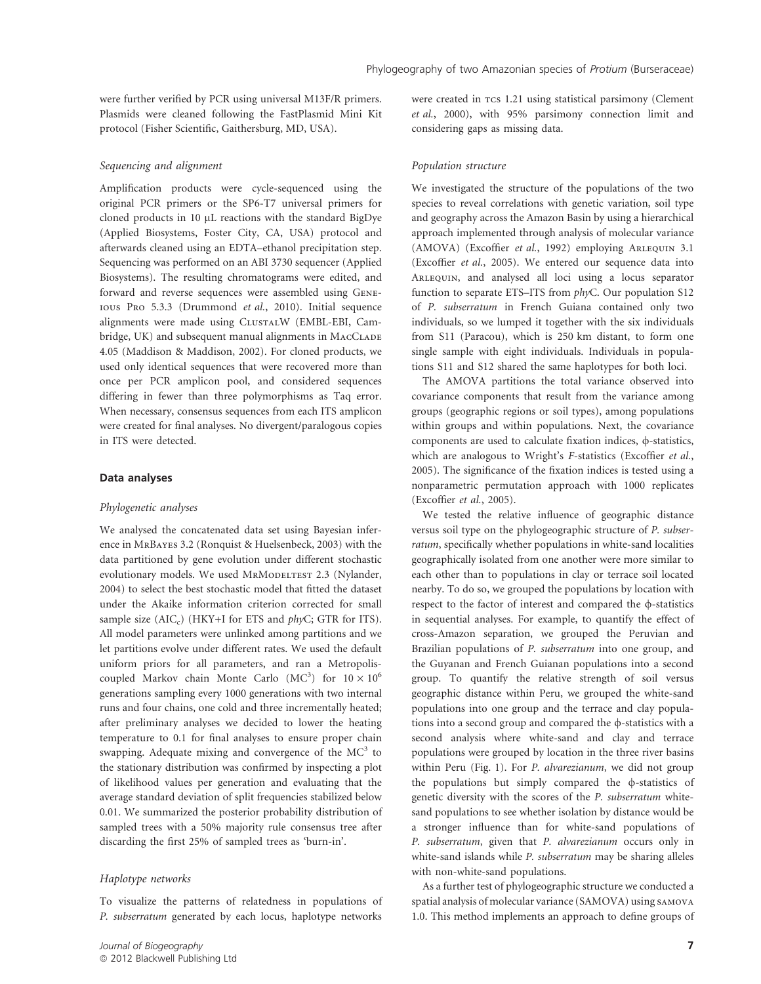were further verified by PCR using universal M13F/R primers. Plasmids were cleaned following the FastPlasmid Mini Kit protocol (Fisher Scientific, Gaithersburg, MD, USA).

## Sequencing and alignment

Amplification products were cycle-sequenced using the original PCR primers or the SP6-T7 universal primers for cloned products in 10 µL reactions with the standard BigDye (Applied Biosystems, Foster City, CA, USA) protocol and afterwards cleaned using an EDTA–ethanol precipitation step. Sequencing was performed on an ABI 3730 sequencer (Applied Biosystems). The resulting chromatograms were edited, and forward and reverse sequences were assembled using Geneious Pro 5.3.3 (Drummond et al., 2010). Initial sequence alignments were made using CLUSTALW (EMBL-EBI, Cambridge, UK) and subsequent manual alignments in MACCLADE 4.05 (Maddison & Maddison, 2002). For cloned products, we used only identical sequences that were recovered more than once per PCR amplicon pool, and considered sequences differing in fewer than three polymorphisms as Taq error. When necessary, consensus sequences from each ITS amplicon were created for final analyses. No divergent/paralogous copies in ITS were detected.

## Data analyses

#### Phylogenetic analyses

We analysed the concatenated data set using Bayesian inference in MrBayes 3.2 (Ronquist & Huelsenbeck, 2003) with the data partitioned by gene evolution under different stochastic evolutionary models. We used MRMODELTEST 2.3 (Nylander, 2004) to select the best stochastic model that fitted the dataset under the Akaike information criterion corrected for small sample size  $(AIC_c)$  (HKY+I for ETS and *phyC*; GTR for ITS). All model parameters were unlinked among partitions and we let partitions evolve under different rates. We used the default uniform priors for all parameters, and ran a Metropoliscoupled Markov chain Monte Carlo  $(MC<sup>3</sup>)$  for  $10 \times 10<sup>6</sup>$ generations sampling every 1000 generations with two internal runs and four chains, one cold and three incrementally heated; after preliminary analyses we decided to lower the heating temperature to 0.1 for final analyses to ensure proper chain swapping. Adequate mixing and convergence of the  $MC<sup>3</sup>$  to the stationary distribution was confirmed by inspecting a plot of likelihood values per generation and evaluating that the average standard deviation of split frequencies stabilized below 0.01. We summarized the posterior probability distribution of sampled trees with a 50% majority rule consensus tree after discarding the first 25% of sampled trees as 'burn-in'.

#### Haplotype networks

To visualize the patterns of relatedness in populations of P. subserratum generated by each locus, haplotype networks

were created in tcs 1.21 using statistical parsimony (Clement et al., 2000), with 95% parsimony connection limit and considering gaps as missing data.

#### Population structure

We investigated the structure of the populations of the two species to reveal correlations with genetic variation, soil type and geography across the Amazon Basin by using a hierarchical approach implemented through analysis of molecular variance (AMOVA) (Excoffier et al., 1992) employing Arlequin 3.1 (Excoffier et al., 2005). We entered our sequence data into Arlequin, and analysed all loci using a locus separator function to separate ETS–ITS from phyC. Our population S12 of P. subserratum in French Guiana contained only two individuals, so we lumped it together with the six individuals from S11 (Paracou), which is 250 km distant, to form one single sample with eight individuals. Individuals in populations S11 and S12 shared the same haplotypes for both loci.

The AMOVA partitions the total variance observed into covariance components that result from the variance among groups (geographic regions or soil types), among populations within groups and within populations. Next, the covariance components are used to calculate fixation indices,  $\phi$ -statistics, which are analogous to Wright's F-statistics (Excoffier et al., 2005). The significance of the fixation indices is tested using a nonparametric permutation approach with 1000 replicates (Excoffier et al., 2005).

We tested the relative influence of geographic distance versus soil type on the phylogeographic structure of P. subserratum, specifically whether populations in white-sand localities geographically isolated from one another were more similar to each other than to populations in clay or terrace soil located nearby. To do so, we grouped the populations by location with respect to the factor of interest and compared the  $\phi$ -statistics in sequential analyses. For example, to quantify the effect of cross-Amazon separation, we grouped the Peruvian and Brazilian populations of P. subserratum into one group, and the Guyanan and French Guianan populations into a second group. To quantify the relative strength of soil versus geographic distance within Peru, we grouped the white-sand populations into one group and the terrace and clay populations into a second group and compared the  $\phi$ -statistics with a second analysis where white-sand and clay and terrace populations were grouped by location in the three river basins within Peru (Fig. 1). For P. alvarezianum, we did not group the populations but simply compared the  $\phi$ -statistics of genetic diversity with the scores of the P. subserratum whitesand populations to see whether isolation by distance would be a stronger influence than for white-sand populations of P. subserratum, given that P. alvarezianum occurs only in white-sand islands while P. subserratum may be sharing alleles with non-white-sand populations.

As a further test of phylogeographic structure we conducted a spatial analysis of molecular variance (SAMOVA) using samova 1.0. This method implements an approach to define groups of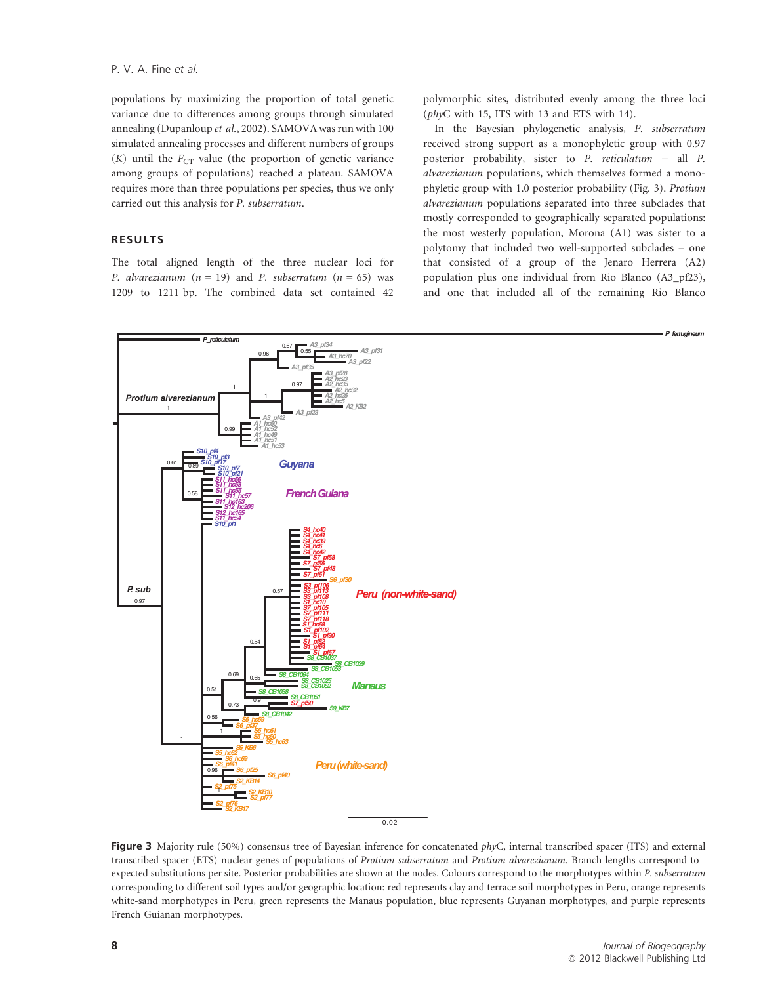populations by maximizing the proportion of total genetic variance due to differences among groups through simulated annealing (Dupanloup et al., 2002). SAMOVA was run with 100 simulated annealing processes and different numbers of groups  $(K)$  until the  $F_{CT}$  value (the proportion of genetic variance among groups of populations) reached a plateau. SAMOVA requires more than three populations per species, thus we only carried out this analysis for P. subserratum.

# RESULTS

The total aligned length of the three nuclear loci for P. alvarezianum ( $n = 19$ ) and P. subserratum ( $n = 65$ ) was 1209 to 1211 bp. The combined data set contained 42

polymorphic sites, distributed evenly among the three loci (phyC with 15, ITS with 13 and ETS with 14).

In the Bayesian phylogenetic analysis, P. subserratum received strong support as a monophyletic group with 0.97 posterior probability, sister to P. reticulatum + all P. alvarezianum populations, which themselves formed a monophyletic group with 1.0 posterior probability (Fig. 3). Protium alvarezianum populations separated into three subclades that mostly corresponded to geographically separated populations: the most westerly population, Morona (A1) was sister to a polytomy that included two well-supported subclades – one that consisted of a group of the Jenaro Herrera (A2) population plus one individual from Rio Blanco (A3\_pf23), and one that included all of the remaining Rio Blanco



Figure 3 Majority rule (50%) consensus tree of Bayesian inference for concatenated  $phyC$ , internal transcribed spacer (ITS) and external transcribed spacer (ETS) nuclear genes of populations of Protium subserratum and Protium alvarezianum. Branch lengths correspond to expected substitutions per site. Posterior probabilities are shown at the nodes. Colours correspond to the morphotypes within P. subserratum corresponding to different soil types and/or geographic location: red represents clay and terrace soil morphotypes in Peru, orange represents white-sand morphotypes in Peru, green represents the Manaus population, blue represents Guyanan morphotypes, and purple represents French Guianan morphotypes.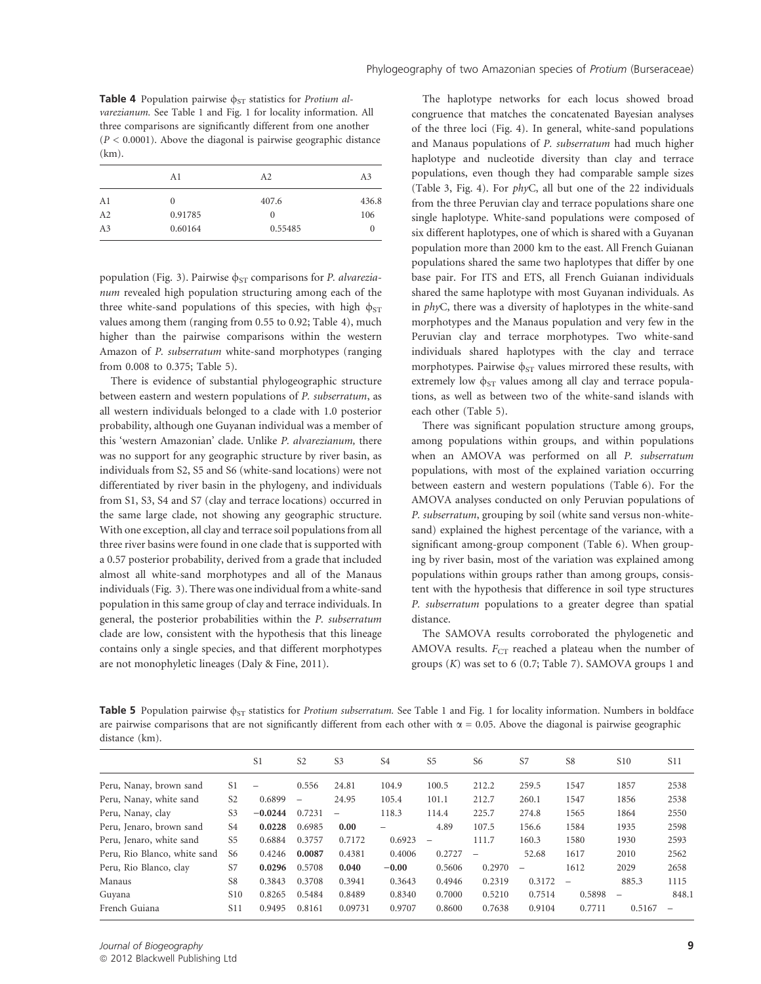Table 4 Population pairwise  $\phi_{ST}$  statistics for *Protium al*varezianum. See Table 1 and Fig. 1 for locality information. All three comparisons are significantly different from one another  $(P < 0.0001)$ . Above the diagonal is pairwise geographic distance (km).

|                | A1      | A2       | A <sub>3</sub> |
|----------------|---------|----------|----------------|
| A1             | 0       | 407.6    | 436.8          |
| A2             | 0.91785 | $\Omega$ | 106            |
| A <sub>3</sub> | 0.60164 | 0.55485  | $\cup$         |

population (Fig. 3). Pairwise  $\phi_{ST}$  comparisons for *P. alvarezia*num revealed high population structuring among each of the three white-sand populations of this species, with high  $\phi_{ST}$ values among them (ranging from 0.55 to 0.92; Table 4), much higher than the pairwise comparisons within the western Amazon of P. subserratum white-sand morphotypes (ranging from 0.008 to 0.375; Table 5).

There is evidence of substantial phylogeographic structure between eastern and western populations of P. subserratum, as all western individuals belonged to a clade with 1.0 posterior probability, although one Guyanan individual was a member of this 'western Amazonian' clade. Unlike P. alvarezianum, there was no support for any geographic structure by river basin, as individuals from S2, S5 and S6 (white-sand locations) were not differentiated by river basin in the phylogeny, and individuals from S1, S3, S4 and S7 (clay and terrace locations) occurred in the same large clade, not showing any geographic structure. With one exception, all clay and terrace soil populations from all three river basins were found in one clade that is supported with a 0.57 posterior probability, derived from a grade that included almost all white-sand morphotypes and all of the Manaus individuals (Fig. 3). There was one individual from a white-sand population in this same group of clay and terrace individuals. In general, the posterior probabilities within the P. subserratum clade are low, consistent with the hypothesis that this lineage contains only a single species, and that different morphotypes are not monophyletic lineages (Daly & Fine, 2011).

The haplotype networks for each locus showed broad congruence that matches the concatenated Bayesian analyses of the three loci (Fig. 4). In general, white-sand populations and Manaus populations of P. subserratum had much higher haplotype and nucleotide diversity than clay and terrace populations, even though they had comparable sample sizes (Table 3, Fig. 4). For phyC, all but one of the 22 individuals from the three Peruvian clay and terrace populations share one single haplotype. White-sand populations were composed of six different haplotypes, one of which is shared with a Guyanan population more than 2000 km to the east. All French Guianan populations shared the same two haplotypes that differ by one base pair. For ITS and ETS, all French Guianan individuals shared the same haplotype with most Guyanan individuals. As in phyC, there was a diversity of haplotypes in the white-sand morphotypes and the Manaus population and very few in the Peruvian clay and terrace morphotypes. Two white-sand individuals shared haplotypes with the clay and terrace morphotypes. Pairwise  $\phi_{ST}$  values mirrored these results, with extremely low  $\phi_{ST}$  values among all clay and terrace populations, as well as between two of the white-sand islands with each other (Table 5).

There was significant population structure among groups, among populations within groups, and within populations when an AMOVA was performed on all P. subserratum populations, with most of the explained variation occurring between eastern and western populations (Table 6). For the AMOVA analyses conducted on only Peruvian populations of P. subserratum, grouping by soil (white sand versus non-whitesand) explained the highest percentage of the variance, with a significant among-group component (Table 6). When grouping by river basin, most of the variation was explained among populations within groups rather than among groups, consistent with the hypothesis that difference in soil type structures P. subserratum populations to a greater degree than spatial distance.

The SAMOVA results corroborated the phylogenetic and AMOVA results.  $F_{CT}$  reached a plateau when the number of groups (K) was set to 6 (0.7; Table 7). SAMOVA groups 1 and

Table 5 Population pairwise  $\phi_{ST}$  statistics for *Protium subserratum*. See Table 1 and Fig. 1 for locality information. Numbers in boldface are pairwise comparisons that are not significantly different from each other with  $\alpha = 0.05$ . Above the diagonal is pairwise geographic distance (km).

|                              |                | S1                       | S <sub>2</sub> | S <sub>3</sub>           | S4                       | S <sub>5</sub>           | S6                       | S7                       | S8     | S <sub>10</sub> | S11   |
|------------------------------|----------------|--------------------------|----------------|--------------------------|--------------------------|--------------------------|--------------------------|--------------------------|--------|-----------------|-------|
| Peru, Nanay, brown sand      | S1             | $\overline{\phantom{0}}$ | 0.556          | 24.81                    | 104.9                    | 100.5                    | 212.2                    | 259.5                    | 1547   | 1857            | 2538  |
| Peru, Nanay, white sand      | S <sub>2</sub> | 0.6899                   |                | 24.95                    | 105.4                    | 101.1                    | 212.7                    | 260.1                    | 1547   | 1856            | 2538  |
| Peru, Nanay, clay            | S3             | $-0.0244$                | 0.7231         | $\overline{\phantom{0}}$ | 118.3                    | 114.4                    | 225.7                    | 274.8                    | 1565   | 1864            | 2550  |
| Peru, Jenaro, brown sand     | S4             | 0.0228                   | 0.6985         | 0.00                     | $\overline{\phantom{0}}$ | 4.89                     | 107.5                    | 156.6                    | 1584   | 1935            | 2598  |
| Peru, Jenaro, white sand     | S <sub>5</sub> | 0.6884                   | 0.3757         | 0.7172                   | 0.6923                   | $\overline{\phantom{0}}$ | 111.7                    | 160.3                    | 1580   | 1930            | 2593  |
| Peru, Rio Blanco, white sand | S <sub>6</sub> | 0.4246                   | 0.0087         | 0.4381                   | 0.4006                   | 0.2727                   | $\overline{\phantom{0}}$ | 52.68                    | 1617   | 2010            | 2562  |
| Peru, Rio Blanco, clay       | S7             | 0.0296                   | 0.5708         | 0.040                    | $-0.00$                  | 0.5606                   | 0.2970                   | $\overline{\phantom{0}}$ | 1612   | 2029            | 2658  |
| Manaus                       | S <sub>8</sub> | 0.3843                   | 0.3708         | 0.3941                   | 0.3643                   | 0.4946                   | 0.2319                   | 0.3172                   |        | 885.3           | 1115  |
| Guyana                       | S10            | 0.8265                   | 0.5484         | 0.8489                   | 0.8340                   | 0.7000                   | 0.5210                   | 0.7514                   | 0.5898 |                 | 848.1 |
| French Guiana                | S11            | 0.9495                   | 0.8161         | 0.09731                  | 0.9707                   | 0.8600                   | 0.7638                   | 0.9104                   | 0.7711 | 0.5167          |       |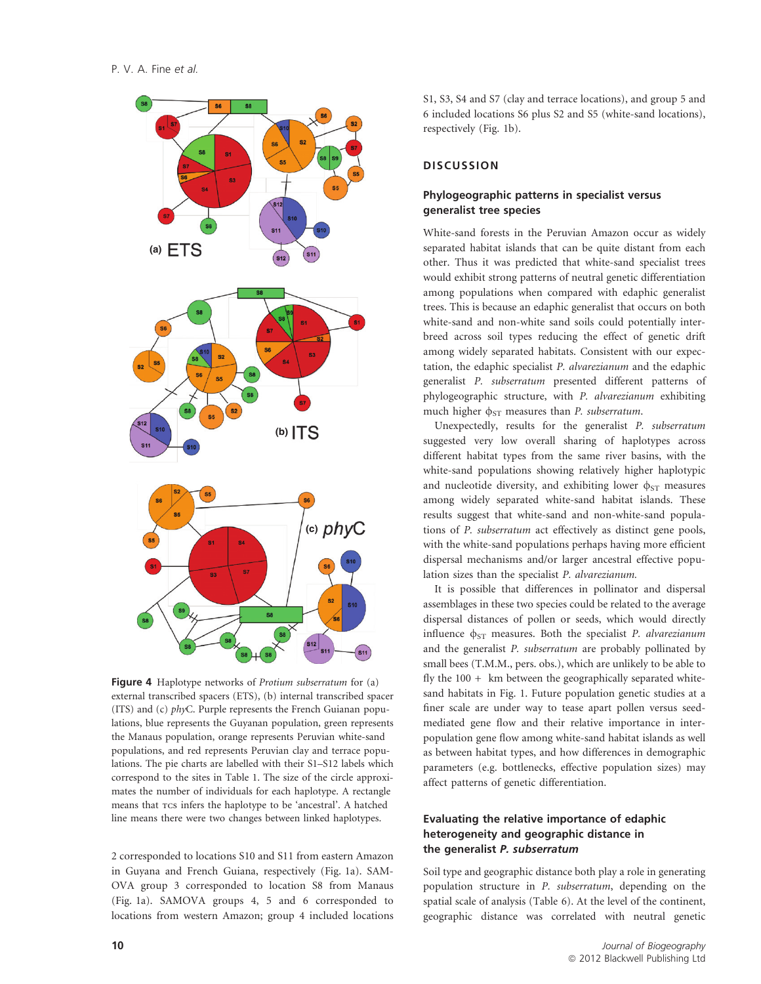

**Figure 4** Haplotype networks of *Protium subserratum* for (a) external transcribed spacers (ETS), (b) internal transcribed spacer (ITS) and (c) phyC. Purple represents the French Guianan populations, blue represents the Guyanan population, green represents the Manaus population, orange represents Peruvian white-sand populations, and red represents Peruvian clay and terrace populations. The pie charts are labelled with their S1–S12 labels which correspond to the sites in Table 1. The size of the circle approximates the number of individuals for each haplotype. A rectangle means that  $Tcs$  infers the haplotype to be 'ancestral'. A hatched line means there were two changes between linked haplotypes.

2 corresponded to locations S10 and S11 from eastern Amazon in Guyana and French Guiana, respectively (Fig. 1a). SAM-OVA group 3 corresponded to location S8 from Manaus (Fig. 1a). SAMOVA groups 4, 5 and 6 corresponded to locations from western Amazon; group 4 included locations S1, S3, S4 and S7 (clay and terrace locations), and group 5 and 6 included locations S6 plus S2 and S5 (white-sand locations), respectively (Fig. 1b).

# **DISCUSSION**

# Phylogeographic patterns in specialist versus generalist tree species

White-sand forests in the Peruvian Amazon occur as widely separated habitat islands that can be quite distant from each other. Thus it was predicted that white-sand specialist trees would exhibit strong patterns of neutral genetic differentiation among populations when compared with edaphic generalist trees. This is because an edaphic generalist that occurs on both white-sand and non-white sand soils could potentially interbreed across soil types reducing the effect of genetic drift among widely separated habitats. Consistent with our expectation, the edaphic specialist P. alvarezianum and the edaphic generalist P. subserratum presented different patterns of phylogeographic structure, with P. alvarezianum exhibiting much higher  $\phi_{ST}$  measures than *P. subserratum*.

Unexpectedly, results for the generalist P. subserratum suggested very low overall sharing of haplotypes across different habitat types from the same river basins, with the white-sand populations showing relatively higher haplotypic and nucleotide diversity, and exhibiting lower  $\phi_{ST}$  measures among widely separated white-sand habitat islands. These results suggest that white-sand and non-white-sand populations of P. subserratum act effectively as distinct gene pools, with the white-sand populations perhaps having more efficient dispersal mechanisms and/or larger ancestral effective population sizes than the specialist P. alvarezianum.

It is possible that differences in pollinator and dispersal assemblages in these two species could be related to the average dispersal distances of pollen or seeds, which would directly influence  $\phi_{ST}$  measures. Both the specialist P. alvarezianum and the generalist P. subserratum are probably pollinated by small bees (T.M.M., pers. obs.), which are unlikely to be able to fly the  $100 + km$  between the geographically separated whitesand habitats in Fig. 1. Future population genetic studies at a finer scale are under way to tease apart pollen versus seedmediated gene flow and their relative importance in interpopulation gene flow among white-sand habitat islands as well as between habitat types, and how differences in demographic parameters (e.g. bottlenecks, effective population sizes) may affect patterns of genetic differentiation.

# Evaluating the relative importance of edaphic heterogeneity and geographic distance in the generalist P. subserratum

Soil type and geographic distance both play a role in generating population structure in P. subserratum, depending on the spatial scale of analysis (Table 6). At the level of the continent, geographic distance was correlated with neutral genetic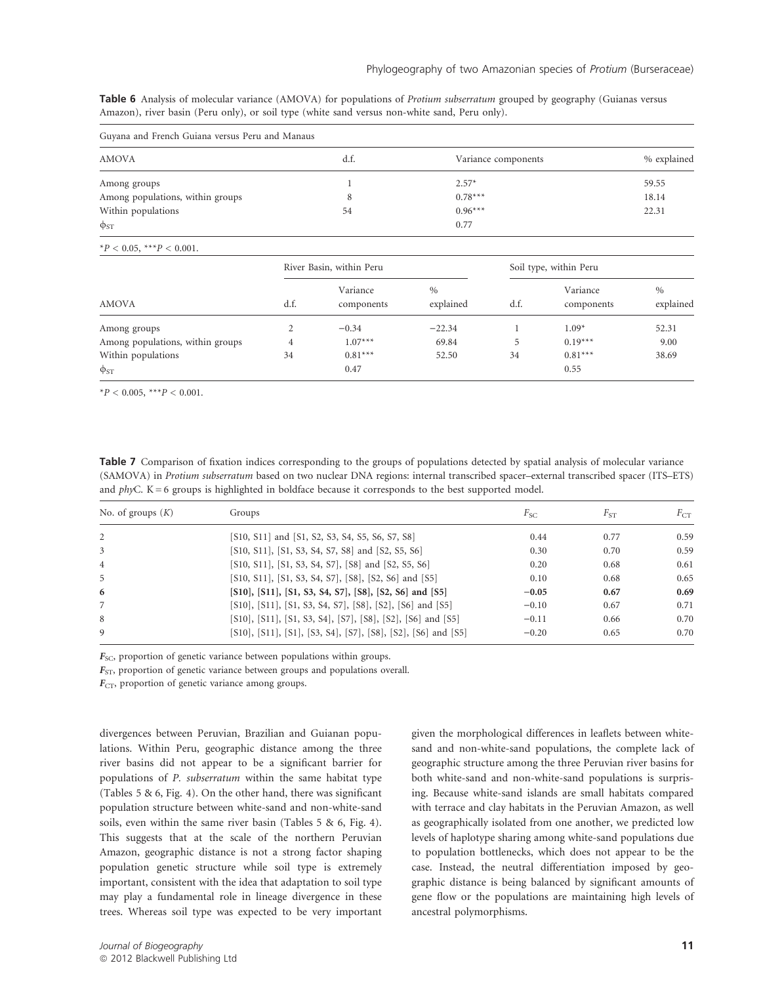Table 6 Analysis of molecular variance (AMOVA) for populations of Protium subserratum grouped by geography (Guianas versus Amazon), river basin (Peru only), or soil type (white sand versus non-white sand, Peru only).

| Guvana and French Guiana versus Peru and Manaus |  |  |  |  |  |
|-------------------------------------------------|--|--|--|--|--|
|-------------------------------------------------|--|--|--|--|--|

| AMOVA                            | d.f. | Variance components | % explained |  |  |  |  |
|----------------------------------|------|---------------------|-------------|--|--|--|--|
| Among groups                     |      | $2.57*$             | 59.55       |  |  |  |  |
| Among populations, within groups |      | $0.78***$           | 18.14       |  |  |  |  |
| Within populations               | 54   | $0.96***$           | 22.31       |  |  |  |  |
| $\phi_{ST}$                      |      | 0.77                |             |  |  |  |  |

#### $*P < 0.05$ ,  $**P < 0.001$ .

| AMOVA                            |      | River Basin, within Peru |                   | Soil type, within Peru |                        |                   |
|----------------------------------|------|--------------------------|-------------------|------------------------|------------------------|-------------------|
|                                  | d.f. | Variance<br>components   | $\%$<br>explained | d.f.                   | Variance<br>components | $\%$<br>explained |
| Among groups                     |      | $-0.34$                  | $-22.34$          |                        | $1.09*$                | 52.31             |
| Among populations, within groups | 4    | $1.07***$                | 69.84             | 5                      | $0.19***$              | 9.00              |
| Within populations               | 34   | $0.81***$                | 52.50             | 34                     | $0.81***$              | 38.69             |
| $\phi_{ST}$                      |      | 0.47                     |                   |                        | 0.55                   |                   |

 $*P < 0.005$ ,  $**P < 0.001$ .

Table 7 Comparison of fixation indices corresponding to the groups of populations detected by spatial analysis of molecular variance (SAMOVA) in Protium subserratum based on two nuclear DNA regions: internal transcribed spacer–external transcribed spacer (ITS–ETS) and  $phyC$ .  $K = 6$  groups is highlighted in boldface because it corresponds to the best supported model.

| No. of groups $(K)$ | Groups                                                                  | $F_{SC}$ | $F_{ST}$ | $F_{\text{CT}}$ |
|---------------------|-------------------------------------------------------------------------|----------|----------|-----------------|
| 2                   | [S10, S11] and [S1, S2, S3, S4, S5, S6, S7, S8]                         | 0.44     | 0.77     | 0.59            |
| $\overline{3}$      | $[510, 511]$ , $[51, 53, 54, 57, 58]$ and $[52, 55, 56]$                | 0.30     | 0.70     | 0.59            |
| $\overline{4}$      | [S10, S11], [S1, S3, S4, S7], [S8] and [S2, S5, S6]                     | 0.20     | 0.68     | 0.61            |
| $\overline{5}$      | [S10, S11], [S1, S3, S4, S7], [S8], [S2, S6] and [S5]                   | 0.10     | 0.68     | 0.65            |
| 6                   | $[S10]$ , $[S11]$ , $[S1, S3, S4, S7]$ , $[S8]$ , $[S2, S6]$ and $[S5]$ | $-0.05$  | 0.67     | 0.69            |
| 7                   | [S10], [S11], [S1, S3, S4, S7], [S8], [S2], [S6] and [S5]               | $-0.10$  | 0.67     | 0.71            |
| 8                   | [S10], [S11], [S1, S3, S4], [S7], [S8], [S2], [S6] and [S5]             | $-0.11$  | 0.66     | 0.70            |
| 9                   | [S10], [S11], [S1], [S3, S4], [S7], [S8], [S2], [S6] and [S5]           | $-0.20$  | 0.65     | 0.70            |

 $F_{SC}$ , proportion of genetic variance between populations within groups.

 $F<sub>ST</sub>$ , proportion of genetic variance between groups and populations overall.

 $F_{CT}$ , proportion of genetic variance among groups.

divergences between Peruvian, Brazilian and Guianan populations. Within Peru, geographic distance among the three river basins did not appear to be a significant barrier for populations of P. subserratum within the same habitat type (Tables 5 & 6, Fig. 4). On the other hand, there was significant population structure between white-sand and non-white-sand soils, even within the same river basin (Tables 5 & 6, Fig. 4). This suggests that at the scale of the northern Peruvian Amazon, geographic distance is not a strong factor shaping population genetic structure while soil type is extremely important, consistent with the idea that adaptation to soil type may play a fundamental role in lineage divergence in these trees. Whereas soil type was expected to be very important given the morphological differences in leaflets between whitesand and non-white-sand populations, the complete lack of geographic structure among the three Peruvian river basins for both white-sand and non-white-sand populations is surprising. Because white-sand islands are small habitats compared with terrace and clay habitats in the Peruvian Amazon, as well as geographically isolated from one another, we predicted low levels of haplotype sharing among white-sand populations due to population bottlenecks, which does not appear to be the case. Instead, the neutral differentiation imposed by geographic distance is being balanced by significant amounts of gene flow or the populations are maintaining high levels of ancestral polymorphisms.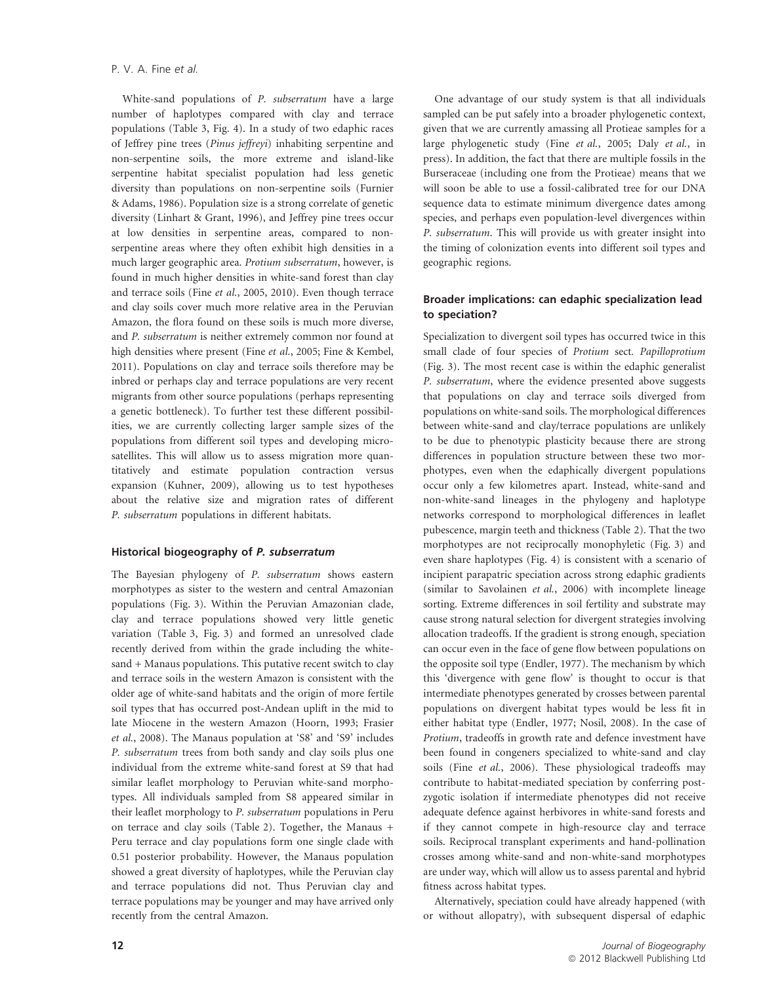White-sand populations of P. subserratum have a large number of haplotypes compared with clay and terrace populations (Table 3, Fig. 4). In a study of two edaphic races of Jeffrey pine trees (Pinus jeffreyi) inhabiting serpentine and non-serpentine soils, the more extreme and island-like serpentine habitat specialist population had less genetic diversity than populations on non-serpentine soils (Furnier & Adams, 1986). Population size is a strong correlate of genetic diversity (Linhart & Grant, 1996), and Jeffrey pine trees occur at low densities in serpentine areas, compared to nonserpentine areas where they often exhibit high densities in a much larger geographic area. Protium subserratum, however, is found in much higher densities in white-sand forest than clay and terrace soils (Fine et al., 2005, 2010). Even though terrace and clay soils cover much more relative area in the Peruvian Amazon, the flora found on these soils is much more diverse, and P. subserratum is neither extremely common nor found at high densities where present (Fine et al., 2005; Fine & Kembel, 2011). Populations on clay and terrace soils therefore may be inbred or perhaps clay and terrace populations are very recent migrants from other source populations (perhaps representing a genetic bottleneck). To further test these different possibilities, we are currently collecting larger sample sizes of the populations from different soil types and developing microsatellites. This will allow us to assess migration more quantitatively and estimate population contraction versus expansion (Kuhner, 2009), allowing us to test hypotheses about the relative size and migration rates of different P. subserratum populations in different habitats.

#### Historical biogeography of P. subserratum

The Bayesian phylogeny of P. subserratum shows eastern morphotypes as sister to the western and central Amazonian populations (Fig. 3). Within the Peruvian Amazonian clade, clay and terrace populations showed very little genetic variation (Table 3, Fig. 3) and formed an unresolved clade recently derived from within the grade including the whitesand + Manaus populations. This putative recent switch to clay and terrace soils in the western Amazon is consistent with the older age of white-sand habitats and the origin of more fertile soil types that has occurred post-Andean uplift in the mid to late Miocene in the western Amazon (Hoorn, 1993; Frasier et al., 2008). The Manaus population at 'S8' and 'S9' includes P. subserratum trees from both sandy and clay soils plus one individual from the extreme white-sand forest at S9 that had similar leaflet morphology to Peruvian white-sand morphotypes. All individuals sampled from S8 appeared similar in their leaflet morphology to P. subserratum populations in Peru on terrace and clay soils (Table 2). Together, the Manaus + Peru terrace and clay populations form one single clade with 0.51 posterior probability. However, the Manaus population showed a great diversity of haplotypes, while the Peruvian clay and terrace populations did not. Thus Peruvian clay and terrace populations may be younger and may have arrived only recently from the central Amazon.

One advantage of our study system is that all individuals sampled can be put safely into a broader phylogenetic context, given that we are currently amassing all Protieae samples for a large phylogenetic study (Fine et al., 2005; Daly et al., in press). In addition, the fact that there are multiple fossils in the Burseraceae (including one from the Protieae) means that we will soon be able to use a fossil-calibrated tree for our DNA sequence data to estimate minimum divergence dates among species, and perhaps even population-level divergences within P. subserratum. This will provide us with greater insight into the timing of colonization events into different soil types and geographic regions.

# Broader implications: can edaphic specialization lead to speciation?

Specialization to divergent soil types has occurred twice in this small clade of four species of Protium sect. Papilloprotium (Fig. 3). The most recent case is within the edaphic generalist P. subserratum, where the evidence presented above suggests that populations on clay and terrace soils diverged from populations on white-sand soils. The morphological differences between white-sand and clay/terrace populations are unlikely to be due to phenotypic plasticity because there are strong differences in population structure between these two morphotypes, even when the edaphically divergent populations occur only a few kilometres apart. Instead, white-sand and non-white-sand lineages in the phylogeny and haplotype networks correspond to morphological differences in leaflet pubescence, margin teeth and thickness (Table 2). That the two morphotypes are not reciprocally monophyletic (Fig. 3) and even share haplotypes (Fig. 4) is consistent with a scenario of incipient parapatric speciation across strong edaphic gradients (similar to Savolainen et al., 2006) with incomplete lineage sorting. Extreme differences in soil fertility and substrate may cause strong natural selection for divergent strategies involving allocation tradeoffs. If the gradient is strong enough, speciation can occur even in the face of gene flow between populations on the opposite soil type (Endler, 1977). The mechanism by which this 'divergence with gene flow' is thought to occur is that intermediate phenotypes generated by crosses between parental populations on divergent habitat types would be less fit in either habitat type (Endler, 1977; Nosil, 2008). In the case of Protium, tradeoffs in growth rate and defence investment have been found in congeners specialized to white-sand and clay soils (Fine et al., 2006). These physiological tradeoffs may contribute to habitat-mediated speciation by conferring postzygotic isolation if intermediate phenotypes did not receive adequate defence against herbivores in white-sand forests and if they cannot compete in high-resource clay and terrace soils. Reciprocal transplant experiments and hand-pollination crosses among white-sand and non-white-sand morphotypes are under way, which will allow us to assess parental and hybrid fitness across habitat types.

Alternatively, speciation could have already happened (with or without allopatry), with subsequent dispersal of edaphic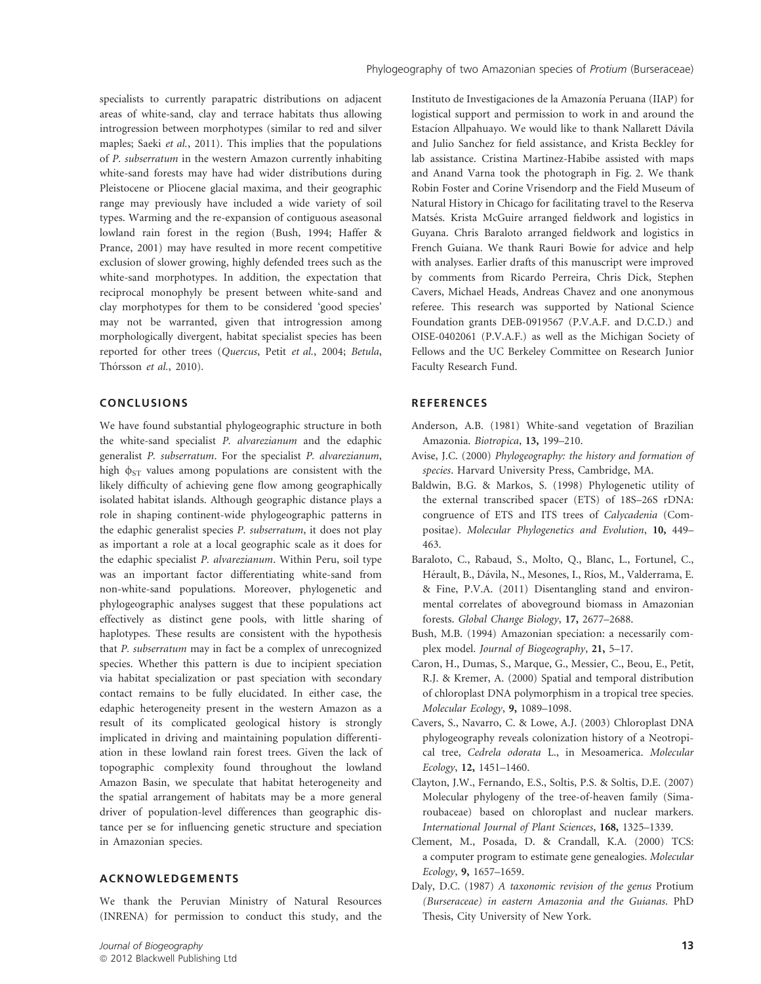specialists to currently parapatric distributions on adjacent areas of white-sand, clay and terrace habitats thus allowing introgression between morphotypes (similar to red and silver maples; Saeki et al., 2011). This implies that the populations of P. subserratum in the western Amazon currently inhabiting white-sand forests may have had wider distributions during Pleistocene or Pliocene glacial maxima, and their geographic range may previously have included a wide variety of soil types. Warming and the re-expansion of contiguous aseasonal lowland rain forest in the region (Bush, 1994; Haffer & Prance, 2001) may have resulted in more recent competitive exclusion of slower growing, highly defended trees such as the white-sand morphotypes. In addition, the expectation that reciprocal monophyly be present between white-sand and clay morphotypes for them to be considered 'good species' may not be warranted, given that introgression among morphologically divergent, habitat specialist species has been reported for other trees (Quercus, Petit et al., 2004; Betula, Thórsson et al., 2010).

# CONCLUSIONS

We have found substantial phylogeographic structure in both the white-sand specialist P. alvarezianum and the edaphic generalist P. subserratum. For the specialist P. alvarezianum, high  $\phi_{ST}$  values among populations are consistent with the likely difficulty of achieving gene flow among geographically isolated habitat islands. Although geographic distance plays a role in shaping continent-wide phylogeographic patterns in the edaphic generalist species P. subserratum, it does not play as important a role at a local geographic scale as it does for the edaphic specialist P. alvarezianum. Within Peru, soil type was an important factor differentiating white-sand from non-white-sand populations. Moreover, phylogenetic and phylogeographic analyses suggest that these populations act effectively as distinct gene pools, with little sharing of haplotypes. These results are consistent with the hypothesis that P. subserratum may in fact be a complex of unrecognized species. Whether this pattern is due to incipient speciation via habitat specialization or past speciation with secondary contact remains to be fully elucidated. In either case, the edaphic heterogeneity present in the western Amazon as a result of its complicated geological history is strongly implicated in driving and maintaining population differentiation in these lowland rain forest trees. Given the lack of topographic complexity found throughout the lowland Amazon Basin, we speculate that habitat heterogeneity and the spatial arrangement of habitats may be a more general driver of population-level differences than geographic distance per se for influencing genetic structure and speciation in Amazonian species.

# ACKNOWLEDGEMENTS

We thank the Peruvian Ministry of Natural Resources (INRENA) for permission to conduct this study, and the Instituto de Investigaciones de la Amazonía Peruana (IIAP) for logistical support and permission to work in and around the Estacíon Allpahuayo. We would like to thank Nallarett Dávila and Julio Sanchez for field assistance, and Krista Beckley for lab assistance. Cristina Martinez-Habibe assisted with maps and Anand Varna took the photograph in Fig. 2. We thank Robin Foster and Corine Vrisendorp and the Field Museum of Natural History in Chicago for facilitating travel to the Reserva Matsés. Krista McGuire arranged fieldwork and logistics in Guyana. Chris Baraloto arranged fieldwork and logistics in French Guiana. We thank Rauri Bowie for advice and help with analyses. Earlier drafts of this manuscript were improved by comments from Ricardo Perreira, Chris Dick, Stephen Cavers, Michael Heads, Andreas Chavez and one anonymous referee. This research was supported by National Science Foundation grants DEB-0919567 (P.V.A.F. and D.C.D.) and OISE-0402061 (P.V.A.F.) as well as the Michigan Society of Fellows and the UC Berkeley Committee on Research Junior Faculty Research Fund.

## REFERENCES

- Anderson, A.B. (1981) White-sand vegetation of Brazilian Amazonia. Biotropica, 13, 199–210.
- Avise, J.C. (2000) Phylogeography: the history and formation of species. Harvard University Press, Cambridge, MA.
- Baldwin, B.G. & Markos, S. (1998) Phylogenetic utility of the external transcribed spacer (ETS) of 18S–26S rDNA: congruence of ETS and ITS trees of Calycadenia (Compositae). Molecular Phylogenetics and Evolution, 10, 449– 463.
- Baraloto, C., Rabaud, S., Molto, Q., Blanc, L., Fortunel, C., Hérault, B., Dávila, N., Mesones, I., Ríos, M., Valderrama, E. & Fine, P.V.A. (2011) Disentangling stand and environmental correlates of aboveground biomass in Amazonian forests. Global Change Biology, 17, 2677–2688.
- Bush, M.B. (1994) Amazonian speciation: a necessarily complex model. Journal of Biogeography, 21, 5-17.
- Caron, H., Dumas, S., Marque, G., Messier, C., Beou, E., Petit, R.J. & Kremer, A. (2000) Spatial and temporal distribution of chloroplast DNA polymorphism in a tropical tree species. Molecular Ecology, 9, 1089–1098.
- Cavers, S., Navarro, C. & Lowe, A.J. (2003) Chloroplast DNA phylogeography reveals colonization history of a Neotropical tree, Cedrela odorata L., in Mesoamerica. Molecular Ecology, 12, 1451–1460.
- Clayton, J.W., Fernando, E.S., Soltis, P.S. & Soltis, D.E. (2007) Molecular phylogeny of the tree-of-heaven family (Simaroubaceae) based on chloroplast and nuclear markers. International Journal of Plant Sciences, 168, 1325–1339.
- Clement, M., Posada, D. & Crandall, K.A. (2000) TCS: a computer program to estimate gene genealogies. Molecular Ecology, 9, 1657–1659.
- Daly, D.C. (1987) A taxonomic revision of the genus Protium (Burseraceae) in eastern Amazonia and the Guianas. PhD Thesis, City University of New York.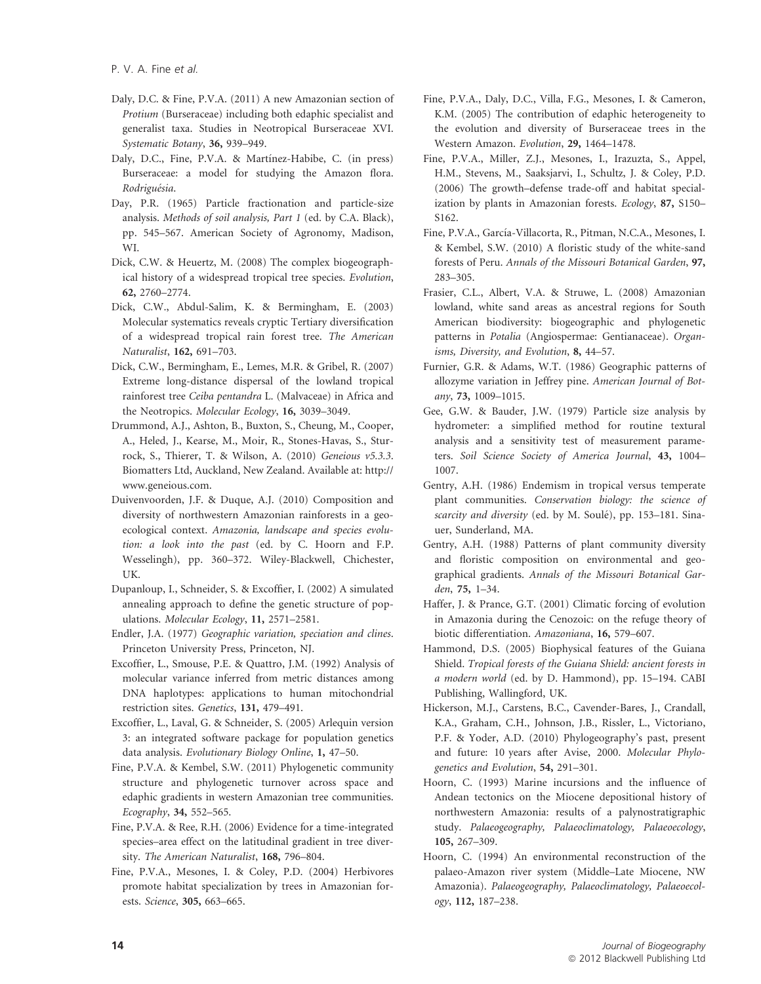- Daly, D.C. & Fine, P.V.A. (2011) A new Amazonian section of Protium (Burseraceae) including both edaphic specialist and generalist taxa. Studies in Neotropical Burseraceae XVI. Systematic Botany, 36, 939–949.
- Daly, D.C., Fine, P.V.A. & Martínez-Habibe, C. (in press) Burseraceae: a model for studying the Amazon flora. Rodriguésia.
- Day, P.R. (1965) Particle fractionation and particle-size analysis. Methods of soil analysis, Part 1 (ed. by C.A. Black), pp. 545–567. American Society of Agronomy, Madison, WI.
- Dick, C.W. & Heuertz, M. (2008) The complex biogeographical history of a widespread tropical tree species. Evolution, 62, 2760–2774.
- Dick, C.W., Abdul-Salim, K. & Bermingham, E. (2003) Molecular systematics reveals cryptic Tertiary diversification of a widespread tropical rain forest tree. The American Naturalist, 162, 691–703.
- Dick, C.W., Bermingham, E., Lemes, M.R. & Gribel, R. (2007) Extreme long-distance dispersal of the lowland tropical rainforest tree Ceiba pentandra L. (Malvaceae) in Africa and the Neotropics. Molecular Ecology, 16, 3039–3049.
- Drummond, A.J., Ashton, B., Buxton, S., Cheung, M., Cooper, A., Heled, J., Kearse, M., Moir, R., Stones-Havas, S., Sturrock, S., Thierer, T. & Wilson, A. (2010) Geneious v5.3.3. Biomatters Ltd, Auckland, New Zealand. Available at: http:// www.geneious.com.
- Duivenvoorden, J.F. & Duque, A.J. (2010) Composition and diversity of northwestern Amazonian rainforests in a geoecological context. Amazonia, landscape and species evolution: a look into the past (ed. by C. Hoorn and F.P. Wesselingh), pp. 360–372. Wiley-Blackwell, Chichester, UK.
- Dupanloup, I., Schneider, S. & Excoffier, I. (2002) A simulated annealing approach to define the genetic structure of populations. Molecular Ecology, 11, 2571–2581.
- Endler, J.A. (1977) Geographic variation, speciation and clines. Princeton University Press, Princeton, NJ.
- Excoffier, L., Smouse, P.E. & Quattro, J.M. (1992) Analysis of molecular variance inferred from metric distances among DNA haplotypes: applications to human mitochondrial restriction sites. Genetics, 131, 479–491.
- Excoffier, L., Laval, G. & Schneider, S. (2005) Arlequin version 3: an integrated software package for population genetics data analysis. Evolutionary Biology Online, 1, 47–50.
- Fine, P.V.A. & Kembel, S.W. (2011) Phylogenetic community structure and phylogenetic turnover across space and edaphic gradients in western Amazonian tree communities. Ecography, 34, 552–565.
- Fine, P.V.A. & Ree, R.H. (2006) Evidence for a time-integrated species–area effect on the latitudinal gradient in tree diversity. The American Naturalist, 168, 796–804.
- Fine, P.V.A., Mesones, I. & Coley, P.D. (2004) Herbivores promote habitat specialization by trees in Amazonian forests. Science, 305, 663–665.
- Fine, P.V.A., Daly, D.C., Villa, F.G., Mesones, I. & Cameron, K.M. (2005) The contribution of edaphic heterogeneity to the evolution and diversity of Burseraceae trees in the Western Amazon. Evolution, 29, 1464–1478.
- Fine, P.V.A., Miller, Z.J., Mesones, I., Irazuzta, S., Appel, H.M., Stevens, M., Saaksjarvi, I., Schultz, J. & Coley, P.D. (2006) The growth–defense trade-off and habitat specialization by plants in Amazonian forests. Ecology, 87, S150– S162.
- Fine, P.V.A., García-Villacorta, R., Pitman, N.C.A., Mesones, I. & Kembel, S.W. (2010) A floristic study of the white-sand forests of Peru. Annals of the Missouri Botanical Garden, 97, 283–305.
- Frasier, C.L., Albert, V.A. & Struwe, L. (2008) Amazonian lowland, white sand areas as ancestral regions for South American biodiversity: biogeographic and phylogenetic patterns in Potalia (Angiospermae: Gentianaceae). Organisms, Diversity, and Evolution, 8, 44–57.
- Furnier, G.R. & Adams, W.T. (1986) Geographic patterns of allozyme variation in Jeffrey pine. American Journal of Botany, 73, 1009–1015.
- Gee, G.W. & Bauder, J.W. (1979) Particle size analysis by hydrometer: a simplified method for routine textural analysis and a sensitivity test of measurement parameters. Soil Science Society of America Journal, 43, 1004– 1007.
- Gentry, A.H. (1986) Endemism in tropical versus temperate plant communities. Conservation biology: the science of scarcity and diversity (ed. by M. Soulé), pp. 153-181. Sinauer, Sunderland, MA.
- Gentry, A.H. (1988) Patterns of plant community diversity and floristic composition on environmental and geographical gradients. Annals of the Missouri Botanical Garden, 75, 1–34.
- Haffer, J. & Prance, G.T. (2001) Climatic forcing of evolution in Amazonia during the Cenozoic: on the refuge theory of biotic differentiation. Amazoniana, 16, 579–607.
- Hammond, D.S. (2005) Biophysical features of the Guiana Shield. Tropical forests of the Guiana Shield: ancient forests in a modern world (ed. by D. Hammond), pp. 15–194. CABI Publishing, Wallingford, UK.
- Hickerson, M.J., Carstens, B.C., Cavender-Bares, J., Crandall, K.A., Graham, C.H., Johnson, J.B., Rissler, L., Victoriano, P.F. & Yoder, A.D. (2010) Phylogeography's past, present and future: 10 years after Avise, 2000. Molecular Phylogenetics and Evolution, 54, 291–301.
- Hoorn, C. (1993) Marine incursions and the influence of Andean tectonics on the Miocene depositional history of northwestern Amazonia: results of a palynostratigraphic study. Palaeogeography, Palaeoclimatology, Palaeoecology, 105, 267–309.
- Hoorn, C. (1994) An environmental reconstruction of the palaeo-Amazon river system (Middle–Late Miocene, NW Amazonia). Palaeogeography, Palaeoclimatology, Palaeoecology, 112, 187–238.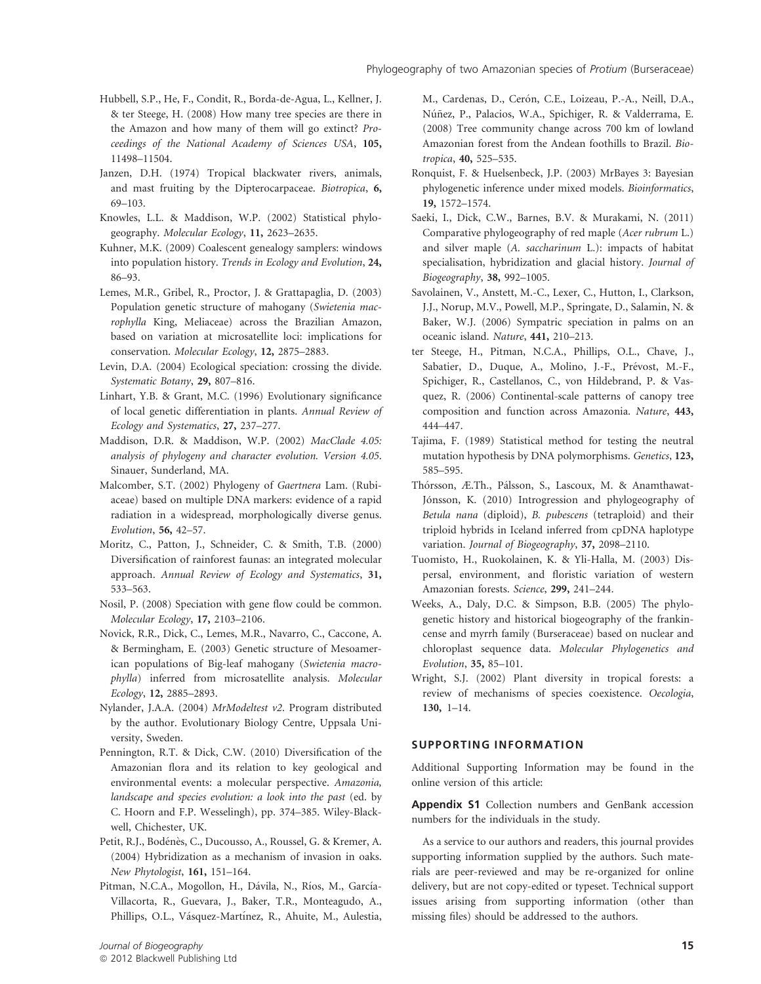- Hubbell, S.P., He, F., Condit, R., Borda-de-Agua, L., Kellner, J. & ter Steege, H. (2008) How many tree species are there in the Amazon and how many of them will go extinct? Proceedings of the National Academy of Sciences USA, 105, 11498–11504.
- Janzen, D.H. (1974) Tropical blackwater rivers, animals, and mast fruiting by the Dipterocarpaceae. Biotropica, 6, 69–103.
- Knowles, L.L. & Maddison, W.P. (2002) Statistical phylogeography. Molecular Ecology, 11, 2623–2635.
- Kuhner, M.K. (2009) Coalescent genealogy samplers: windows into population history. Trends in Ecology and Evolution, 24, 86–93.
- Lemes, M.R., Gribel, R., Proctor, J. & Grattapaglia, D. (2003) Population genetic structure of mahogany (Swietenia macrophylla King, Meliaceae) across the Brazilian Amazon, based on variation at microsatellite loci: implications for conservation. Molecular Ecology, 12, 2875–2883.
- Levin, D.A. (2004) Ecological speciation: crossing the divide. Systematic Botany, 29, 807–816.
- Linhart, Y.B. & Grant, M.C. (1996) Evolutionary significance of local genetic differentiation in plants. Annual Review of Ecology and Systematics, 27, 237–277.
- Maddison, D.R. & Maddison, W.P. (2002) MacClade 4.05: analysis of phylogeny and character evolution. Version 4.05. Sinauer, Sunderland, MA.
- Malcomber, S.T. (2002) Phylogeny of Gaertnera Lam. (Rubiaceae) based on multiple DNA markers: evidence of a rapid radiation in a widespread, morphologically diverse genus. Evolution, 56, 42–57.
- Moritz, C., Patton, J., Schneider, C. & Smith, T.B. (2000) Diversification of rainforest faunas: an integrated molecular approach. Annual Review of Ecology and Systematics, 31, 533–563.
- Nosil, P. (2008) Speciation with gene flow could be common. Molecular Ecology, 17, 2103–2106.
- Novick, R.R., Dick, C., Lemes, M.R., Navarro, C., Caccone, A. & Bermingham, E. (2003) Genetic structure of Mesoamerican populations of Big-leaf mahogany (Swietenia macrophylla) inferred from microsatellite analysis. Molecular Ecology, 12, 2885–2893.
- Nylander, J.A.A. (2004) MrModeltest v2. Program distributed by the author. Evolutionary Biology Centre, Uppsala University, Sweden.
- Pennington, R.T. & Dick, C.W. (2010) Diversification of the Amazonian flora and its relation to key geological and environmental events: a molecular perspective. Amazonia, landscape and species evolution: a look into the past (ed. by C. Hoorn and F.P. Wesselingh), pp. 374–385. Wiley-Blackwell, Chichester, UK.
- Petit, R.J., Bodénès, C., Ducousso, A., Roussel, G. & Kremer, A. (2004) Hybridization as a mechanism of invasion in oaks. New Phytologist, 161, 151–164.
- Pitman, N.C.A., Mogollon, H., Dávila, N., Ríos, M., García-Villacorta, R., Guevara, J., Baker, T.R., Monteagudo, A., Phillips, O.L., Vásquez-Martínez, R., Ahuite, M., Aulestia,

M., Cardenas, D., Cerón, C.E., Loizeau, P.-A., Neill, D.A., Núñez, P., Palacios, W.A., Spichiger, R. & Valderrama, E. (2008) Tree community change across 700 km of lowland Amazonian forest from the Andean foothills to Brazil. Biotropica, 40, 525–535.

- Ronquist, F. & Huelsenbeck, J.P. (2003) MrBayes 3: Bayesian phylogenetic inference under mixed models. Bioinformatics, 19, 1572–1574.
- Saeki, I., Dick, C.W., Barnes, B.V. & Murakami, N. (2011) Comparative phylogeography of red maple (Acer rubrum L.) and silver maple (A. saccharinum L.): impacts of habitat specialisation, hybridization and glacial history. Journal of Biogeography, 38, 992–1005.
- Savolainen, V., Anstett, M.-C., Lexer, C., Hutton, I., Clarkson, J.J., Norup, M.V., Powell, M.P., Springate, D., Salamin, N. & Baker, W.J. (2006) Sympatric speciation in palms on an oceanic island. Nature, 441, 210–213.
- ter Steege, H., Pitman, N.C.A., Phillips, O.L., Chave, J., Sabatier, D., Duque, A., Molino, J.-F., Prévost, M.-F., Spichiger, R., Castellanos, C., von Hildebrand, P. & Vasquez, R. (2006) Continental-scale patterns of canopy tree composition and function across Amazonia. Nature, 443, 444–447.
- Tajima, F. (1989) Statistical method for testing the neutral mutation hypothesis by DNA polymorphisms. Genetics, 123, 585–595.
- Thórsson, Æ.Th., Pálsson, S., Lascoux, M. & Anamthawat-Jónsson, K. (2010) Introgression and phylogeography of Betula nana (diploid), B. pubescens (tetraploid) and their triploid hybrids in Iceland inferred from cpDNA haplotype variation. Journal of Biogeography, 37, 2098-2110.
- Tuomisto, H., Ruokolainen, K. & Yli-Halla, M. (2003) Dispersal, environment, and floristic variation of western Amazonian forests. Science, 299, 241–244.
- Weeks, A., Daly, D.C. & Simpson, B.B. (2005) The phylogenetic history and historical biogeography of the frankincense and myrrh family (Burseraceae) based on nuclear and chloroplast sequence data. Molecular Phylogenetics and Evolution, 35, 85–101.
- Wright, S.J. (2002) Plant diversity in tropical forests: a review of mechanisms of species coexistence. Oecologia, 130, 1–14.

# SUPPORTING INFORMATION

Additional Supporting Information may be found in the online version of this article:

Appendix S1 Collection numbers and GenBank accession numbers for the individuals in the study.

As a service to our authors and readers, this journal provides supporting information supplied by the authors. Such materials are peer-reviewed and may be re-organized for online delivery, but are not copy-edited or typeset. Technical support issues arising from supporting information (other than missing files) should be addressed to the authors.